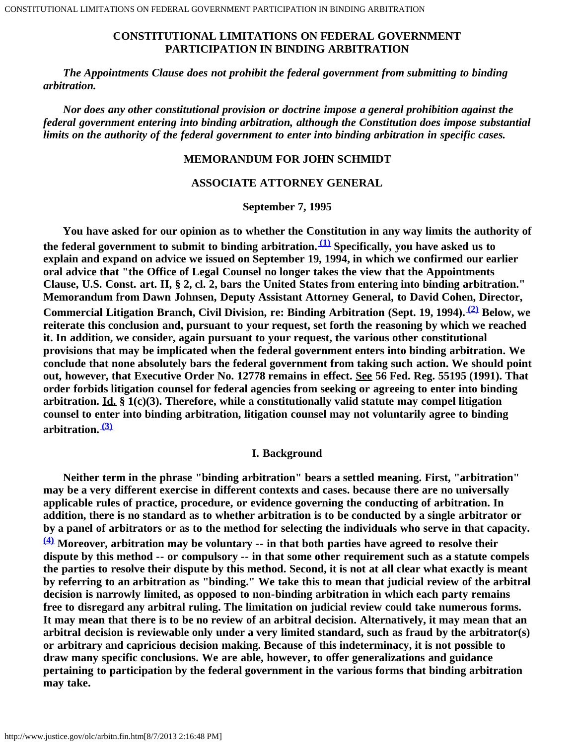## **CONSTITUTIONAL LIMITATIONS ON FEDERAL GOVERNMENT PARTICIPATION IN BINDING ARBITRATION**

 *The Appointments Clause does not prohibit the federal government from submitting to binding arbitration.*

 *Nor does any other constitutional provision or doctrine impose a general prohibition against the federal government entering into binding arbitration, although the Constitution does impose substantial limits on the authority of the federal government to enter into binding arbitration in specific cases.*

### **MEMORANDUM FOR JOHN SCHMIDT**

### **ASSOCIATE ATTORNEY GENERAL**

## **September 7, 1995**

 **You have asked for our opinion as to whether the Constitution in any way limits the authority of the federal government to submit to binding arbitration. [\(1\)](#page-15-0) Specifically, you have asked us to explain and expand on advice we issued on September 19, 1994, in which we confirmed our earlier oral advice that "the Office of Legal Counsel no longer takes the view that the Appointments Clause, U.S. Const. art. II, § 2, cl. 2, bars the United States from entering into binding arbitration." Memorandum from Dawn Johnsen, Deputy Assistant Attorney General, to David Cohen, Director, Commercial Litigation Branch, Civil Division, re: Binding Arbitration (Sept. 19, 1994). [\(2\)](#page-15-1) Below, we reiterate this conclusion and, pursuant to your request, set forth the reasoning by which we reached it. In addition, we consider, again pursuant to your request, the various other constitutional provisions that may be implicated when the federal government enters into binding arbitration. We conclude that none absolutely bars the federal government from taking such action. We should point out, however, that Executive Order No. 12778 remains in effect. See 56 Fed. Reg. 55195 (1991). That order forbids litigation counsel for federal agencies from seeking or agreeing to enter into binding arbitration. Id. § 1(c)(3). Therefore, while a constitutionally valid statute may compel litigation counsel to enter into binding arbitration, litigation counsel may not voluntarily agree to binding arbitration. [\(3\)](#page-15-2)**

#### **I. Background**

 **Neither term in the phrase "binding arbitration" bears a settled meaning. First, "arbitration" may be a very different exercise in different contexts and cases. because there are no universally applicable rules of practice, procedure, or evidence governing the conducting of arbitration. In addition, there is no standard as to whether arbitration is to be conducted by a single arbitrator or by a panel of arbitrators or as to the method for selecting the individuals who serve in that capacity. [\(4\)](#page-16-0) Moreover, arbitration may be voluntary -- in that both parties have agreed to resolve their dispute by this method -- or compulsory -- in that some other requirement such as a statute compels the parties to resolve their dispute by this method. Second, it is not at all clear what exactly is meant by referring to an arbitration as "binding." We take this to mean that judicial review of the arbitral decision is narrowly limited, as opposed to non-binding arbitration in which each party remains free to disregard any arbitral ruling. The limitation on judicial review could take numerous forms. It may mean that there is to be no review of an arbitral decision. Alternatively, it may mean that an arbitral decision is reviewable only under a very limited standard, such as fraud by the arbitrator(s) or arbitrary and capricious decision making. Because of this indeterminacy, it is not possible to draw many specific conclusions. We are able, however, to offer generalizations and guidance pertaining to participation by the federal government in the various forms that binding arbitration may take.**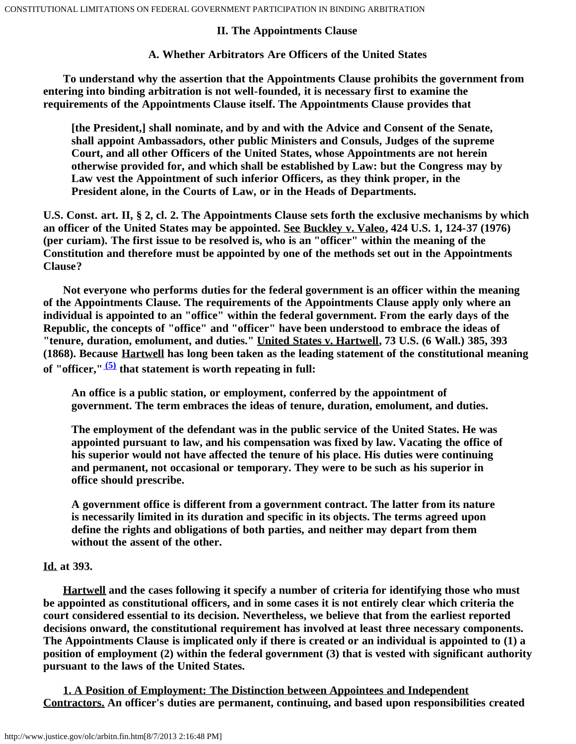## **II. The Appointments Clause**

## **A. Whether Arbitrators Are Officers of the United States**

 **To understand why the assertion that the Appointments Clause prohibits the government from entering into binding arbitration is not well-founded, it is necessary first to examine the requirements of the Appointments Clause itself. The Appointments Clause provides that**

**[the President,] shall nominate, and by and with the Advice and Consent of the Senate, shall appoint Ambassadors, other public Ministers and Consuls, Judges of the supreme Court, and all other Officers of the United States, whose Appointments are not herein otherwise provided for, and which shall be established by Law: but the Congress may by Law vest the Appointment of such inferior Officers, as they think proper, in the President alone, in the Courts of Law, or in the Heads of Departments.**

**U.S. Const. art. II, § 2, cl. 2. The Appointments Clause sets forth the exclusive mechanisms by which an officer of the United States may be appointed. See Buckley v. Valeo, 424 U.S. 1, 124-37 (1976) (per curiam). The first issue to be resolved is, who is an "officer" within the meaning of the Constitution and therefore must be appointed by one of the methods set out in the Appointments Clause?**

 **Not everyone who performs duties for the federal government is an officer within the meaning of the Appointments Clause. The requirements of the Appointments Clause apply only where an individual is appointed to an "office" within the federal government. From the early days of the Republic, the concepts of "office" and "officer" have been understood to embrace the ideas of "tenure, duration, emolument, and duties." United States v. Hartwell, 73 U.S. (6 Wall.) 385, 393 (1868). Because Hartwell has long been taken as the leading statement of the constitutional meaning of "officer," [\(5\)](#page-16-1) that statement is worth repeating in full:**

**An office is a public station, or employment, conferred by the appointment of government. The term embraces the ideas of tenure, duration, emolument, and duties.**

**The employment of the defendant was in the public service of the United States. He was appointed pursuant to law, and his compensation was fixed by law. Vacating the office of his superior would not have affected the tenure of his place. His duties were continuing and permanent, not occasional or temporary. They were to be such as his superior in office should prescribe.**

**A government office is different from a government contract. The latter from its nature is necessarily limited in its duration and specific in its objects. The terms agreed upon define the rights and obligations of both parties, and neither may depart from them without the assent of the other.**

## **Id. at 393.**

 **Hartwell and the cases following it specify a number of criteria for identifying those who must be appointed as constitutional officers, and in some cases it is not entirely clear which criteria the court considered essential to its decision. Nevertheless, we believe that from the earliest reported decisions onward, the constitutional requirement has involved at least three necessary components. The Appointments Clause is implicated only if there is created or an individual is appointed to (1) a position of employment (2) within the federal government (3) that is vested with significant authority pursuant to the laws of the United States.**

 **1. A Position of Employment: The Distinction between Appointees and Independent Contractors. An officer's duties are permanent, continuing, and based upon responsibilities created**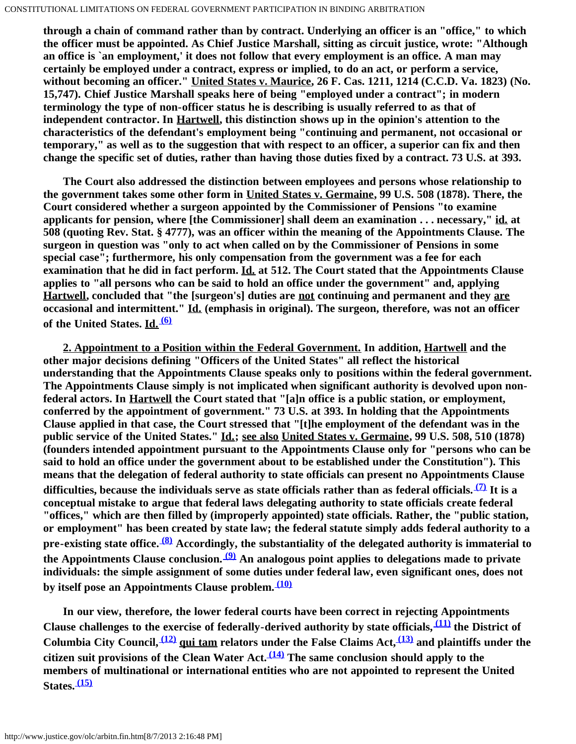**through a chain of command rather than by contract. Underlying an officer is an "office," to which the officer must be appointed. As Chief Justice Marshall, sitting as circuit justice, wrote: "Although an office is `an employment,' it does not follow that every employment is an office. A man may certainly be employed under a contract, express or implied, to do an act, or perform a service, without becoming an officer." United States v. Maurice, 26 F. Cas. 1211, 1214 (C.C.D. Va. 1823) (No. 15,747). Chief Justice Marshall speaks here of being "employed under a contract"; in modern terminology the type of non-officer status he is describing is usually referred to as that of independent contractor. In Hartwell, this distinction shows up in the opinion's attention to the characteristics of the defendant's employment being "continuing and permanent, not occasional or temporary," as well as to the suggestion that with respect to an officer, a superior can fix and then change the specific set of duties, rather than having those duties fixed by a contract. 73 U.S. at 393.**

 **The Court also addressed the distinction between employees and persons whose relationship to the government takes some other form in United States v. Germaine, 99 U.S. 508 (1878). There, the Court considered whether a surgeon appointed by the Commissioner of Pensions "to examine applicants for pension, where [the Commissioner] shall deem an examination . . . necessary," id. at 508 (quoting Rev. Stat. § 4777), was an officer within the meaning of the Appointments Clause. The surgeon in question was "only to act when called on by the Commissioner of Pensions in some special case"; furthermore, his only compensation from the government was a fee for each examination that he did in fact perform. Id. at 512. The Court stated that the Appointments Clause applies to "all persons who can be said to hold an office under the government" and, applying Hartwell, concluded that "the [surgeon's] duties are not continuing and permanent and they are occasional and intermittent." Id. (emphasis in original). The surgeon, therefore, was not an officer of the United States. Id. [\(6\)](#page-16-2)**

 **2. Appointment to a Position within the Federal Government. In addition, Hartwell and the other major decisions defining "Officers of the United States" all reflect the historical understanding that the Appointments Clause speaks only to positions within the federal government. The Appointments Clause simply is not implicated when significant authority is devolved upon nonfederal actors. In Hartwell the Court stated that "[a]n office is a public station, or employment, conferred by the appointment of government." 73 U.S. at 393. In holding that the Appointments Clause applied in that case, the Court stressed that "[t]he employment of the defendant was in the public service of the United States." Id.; see also United States v. Germaine, 99 U.S. 508, 510 (1878) (founders intended appointment pursuant to the Appointments Clause only for "persons who can be said to hold an office under the government about to be established under the Constitution"). This means that the delegation of federal authority to state officials can present no Appointments Clause difficulties, because the individuals serve as state officials rather than as federal officials. [\(7\)](#page-16-3) It is a conceptual mistake to argue that federal laws delegating authority to state officials create federal "offices," which are then filled by (improperly appointed) state officials. Rather, the "public station, or employment" has been created by state law; the federal statute simply adds federal authority to a pre-existing state office. [\(8\)](#page-17-0) Accordingly, the substantiality of the delegated authority is immaterial to the Appointments Clause conclusion. [\(9\)](#page-17-1) An analogous point applies to delegations made to private individuals: the simple assignment of some duties under federal law, even significant ones, does not by itself pose an Appointments Clause problem. [\(10\)](#page-17-2)**

 **In our view, therefore, the lower federal courts have been correct in rejecting Appointments Clause challenges to the exercise of federally-derived authority by state officials, [\(11\)](#page-17-3) the District of Columbia City Council, [\(12\)](#page-17-4) qui tam relators under the False Claims Act, [\(13\)](#page-17-5) and plaintiffs under the citizen suit provisions of the Clean Water Act. [\(14\)](#page-17-6) The same conclusion should apply to the members of multinational or international entities who are not appointed to represent the United States. [\(15\)](#page-17-7)**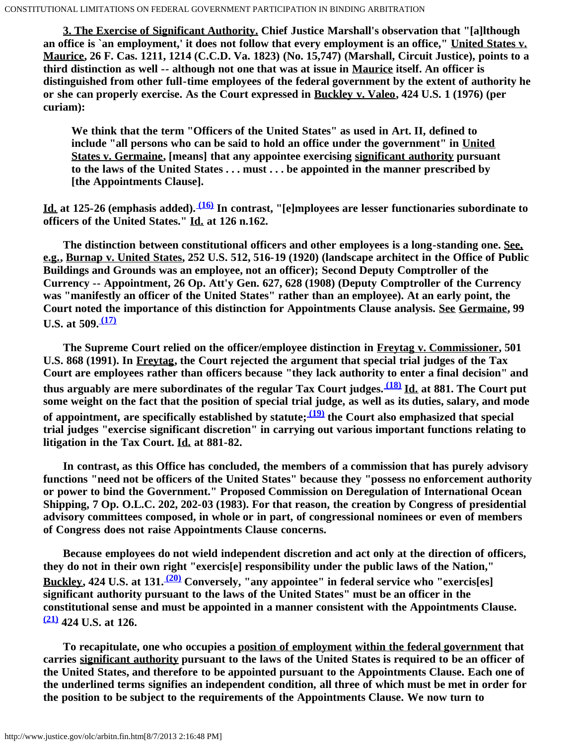**3. The Exercise of Significant Authority. Chief Justice Marshall's observation that "[a]lthough an office is `an employment,' it does not follow that every employment is an office," United States v. Maurice, 26 F. Cas. 1211, 1214 (C.C.D. Va. 1823) (No. 15,747) (Marshall, Circuit Justice), points to a third distinction as well -- although not one that was at issue in Maurice itself. An officer is distinguished from other full-time employees of the federal government by the extent of authority he or she can properly exercise. As the Court expressed in Buckley v. Valeo, 424 U.S. 1 (1976) (per curiam):**

**We think that the term "Officers of the United States" as used in Art. II, defined to include "all persons who can be said to hold an office under the government" in United States v. Germaine, [means] that any appointee exercising significant authority pursuant to the laws of the United States . . . must . . . be appointed in the manner prescribed by [the Appointments Clause].**

**Id. at 125-26 (emphasis added). [\(16\)](#page-18-0) In contrast, "[e]mployees are lesser functionaries subordinate to officers of the United States." Id. at 126 n.162.**

 **The distinction between constitutional officers and other employees is a long-standing one. See, e.g., Burnap v. United States, 252 U.S. 512, 516-19 (1920) (landscape architect in the Office of Public Buildings and Grounds was an employee, not an officer); Second Deputy Comptroller of the Currency -- Appointment, 26 Op. Att'y Gen. 627, 628 (1908) (Deputy Comptroller of the Currency was "manifestly an officer of the United States" rather than an employee). At an early point, the Court noted the importance of this distinction for Appointments Clause analysis. See Germaine, 99 U.S. at 509. [\(17\)](#page-18-1)**

 **The Supreme Court relied on the officer/employee distinction in Freytag v. Commissioner, 501 U.S. 868 (1991). In Freytag, the Court rejected the argument that special trial judges of the Tax Court are employees rather than officers because "they lack authority to enter a final decision" and thus arguably are mere subordinates of the regular Tax Court judges. [\(18\)](#page-19-0) Id. at 881. The Court put some weight on the fact that the position of special trial judge, as well as its duties, salary, and mode of appointment, are specifically established by statute; [\(19\)](#page-19-1) the Court also emphasized that special trial judges "exercise significant discretion" in carrying out various important functions relating to litigation in the Tax Court. Id. at 881-82.**

 **In contrast, as this Office has concluded, the members of a commission that has purely advisory functions "need not be officers of the United States" because they "possess no enforcement authority or power to bind the Government." Proposed Commission on Deregulation of International Ocean Shipping, 7 Op. O.L.C. 202, 202-03 (1983). For that reason, the creation by Congress of presidential advisory committees composed, in whole or in part, of congressional nominees or even of members of Congress does not raise Appointments Clause concerns.**

 **Because employees do not wield independent discretion and act only at the direction of officers, they do not in their own right "exercis[e] responsibility under the public laws of the Nation," Buckley, 424 U.S. at 131. [\(20\)](#page-19-2) Conversely, "any appointee" in federal service who "exercis[es] significant authority pursuant to the laws of the United States" must be an officer in the constitutional sense and must be appointed in a manner consistent with the Appointments Clause. [\(21\)](#page-19-3) 424 U.S. at 126.**

 **To recapitulate, one who occupies a position of employment within the federal government that carries significant authority pursuant to the laws of the United States is required to be an officer of the United States, and therefore to be appointed pursuant to the Appointments Clause. Each one of the underlined terms signifies an independent condition, all three of which must be met in order for the position to be subject to the requirements of the Appointments Clause. We now turn to**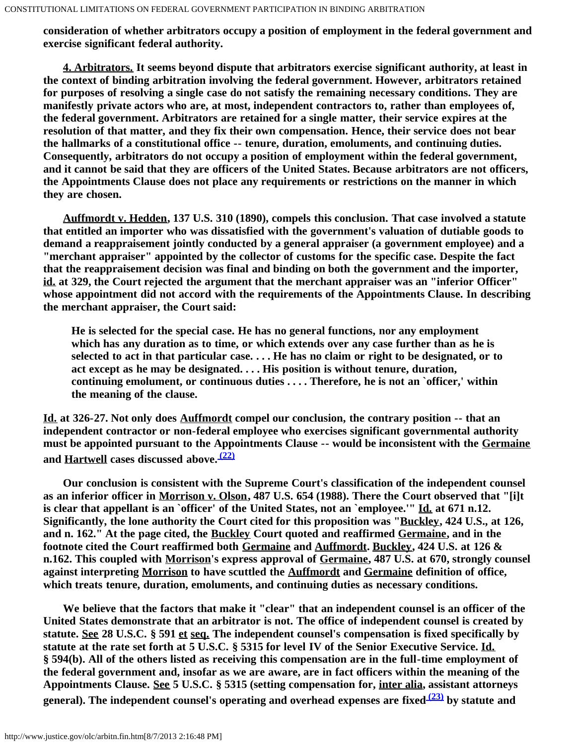**consideration of whether arbitrators occupy a position of employment in the federal government and exercise significant federal authority.**

 **4. Arbitrators. It seems beyond dispute that arbitrators exercise significant authority, at least in the context of binding arbitration involving the federal government. However, arbitrators retained for purposes of resolving a single case do not satisfy the remaining necessary conditions. They are manifestly private actors who are, at most, independent contractors to, rather than employees of, the federal government. Arbitrators are retained for a single matter, their service expires at the resolution of that matter, and they fix their own compensation. Hence, their service does not bear the hallmarks of a constitutional office -- tenure, duration, emoluments, and continuing duties. Consequently, arbitrators do not occupy a position of employment within the federal government, and it cannot be said that they are officers of the United States. Because arbitrators are not officers, the Appointments Clause does not place any requirements or restrictions on the manner in which they are chosen.**

 **Auffmordt v. Hedden, 137 U.S. 310 (1890), compels this conclusion. That case involved a statute that entitled an importer who was dissatisfied with the government's valuation of dutiable goods to demand a reappraisement jointly conducted by a general appraiser (a government employee) and a "merchant appraiser" appointed by the collector of customs for the specific case. Despite the fact that the reappraisement decision was final and binding on both the government and the importer, id. at 329, the Court rejected the argument that the merchant appraiser was an "inferior Officer" whose appointment did not accord with the requirements of the Appointments Clause. In describing the merchant appraiser, the Court said:**

**He is selected for the special case. He has no general functions, nor any employment which has any duration as to time, or which extends over any case further than as he is selected to act in that particular case. . . . He has no claim or right to be designated, or to act except as he may be designated. . . . His position is without tenure, duration, continuing emolument, or continuous duties . . . . Therefore, he is not an `officer,' within the meaning of the clause.**

**Id. at 326-27. Not only does Auffmordt compel our conclusion, the contrary position -- that an independent contractor or non-federal employee who exercises significant governmental authority must be appointed pursuant to the Appointments Clause -- would be inconsistent with the Germaine and Hartwell cases discussed above. [\(22\)](#page-19-4)**

 **Our conclusion is consistent with the Supreme Court's classification of the independent counsel as an inferior officer in Morrison v. Olson, 487 U.S. 654 (1988). There the Court observed that "[i]t is clear that appellant is an `officer' of the United States, not an `employee.'" Id. at 671 n.12. Significantly, the lone authority the Court cited for this proposition was "Buckley, 424 U.S., at 126, and n. 162." At the page cited, the Buckley Court quoted and reaffirmed Germaine, and in the footnote cited the Court reaffirmed both Germaine and Auffmordt. Buckley, 424 U.S. at 126 & n.162. This coupled with Morrison's express approval of Germaine, 487 U.S. at 670, strongly counsel against interpreting Morrison to have scuttled the Auffmordt and Germaine definition of office, which treats tenure, duration, emoluments, and continuing duties as necessary conditions.**

 **We believe that the factors that make it "clear" that an independent counsel is an officer of the United States demonstrate that an arbitrator is not. The office of independent counsel is created by statute. See 28 U.S.C. § 591 et seq. The independent counsel's compensation is fixed specifically by statute at the rate set forth at 5 U.S.C. § 5315 for level IV of the Senior Executive Service. Id. § 594(b). All of the others listed as receiving this compensation are in the full-time employment of the federal government and, insofar as we are aware, are in fact officers within the meaning of the Appointments Clause. See 5 U.S.C. § 5315 (setting compensation for, inter alia, assistant attorneys general). The independent counsel's operating and overhead expenses are fixed [\(23\)](#page-19-5) by statute and**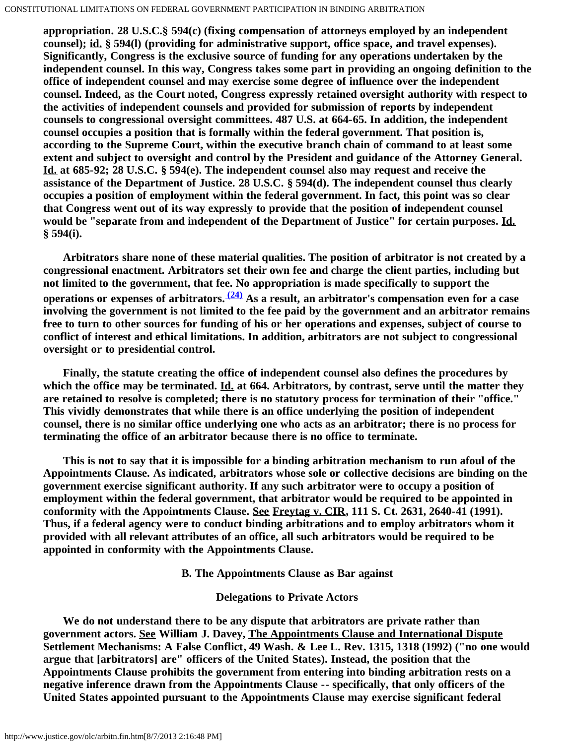**appropriation. 28 U.S.C.§ 594(c) (fixing compensation of attorneys employed by an independent counsel); id. § 594(l) (providing for administrative support, office space, and travel expenses). Significantly, Congress is the exclusive source of funding for any operations undertaken by the independent counsel. In this way, Congress takes some part in providing an ongoing definition to the office of independent counsel and may exercise some degree of influence over the independent counsel. Indeed, as the Court noted, Congress expressly retained oversight authority with respect to the activities of independent counsels and provided for submission of reports by independent counsels to congressional oversight committees. 487 U.S. at 664-65. In addition, the independent counsel occupies a position that is formally within the federal government. That position is, according to the Supreme Court, within the executive branch chain of command to at least some extent and subject to oversight and control by the President and guidance of the Attorney General. Id. at 685-92; 28 U.S.C. § 594(e). The independent counsel also may request and receive the assistance of the Department of Justice. 28 U.S.C. § 594(d). The independent counsel thus clearly occupies a position of employment within the federal government. In fact, this point was so clear that Congress went out of its way expressly to provide that the position of independent counsel would be "separate from and independent of the Department of Justice" for certain purposes. Id. § 594(i).**

 **Arbitrators share none of these material qualities. The position of arbitrator is not created by a congressional enactment. Arbitrators set their own fee and charge the client parties, including but not limited to the government, that fee. No appropriation is made specifically to support the operations or expenses of arbitrators. [\(24\)](#page-19-6) As a result, an arbitrator's compensation even for a case involving the government is not limited to the fee paid by the government and an arbitrator remains free to turn to other sources for funding of his or her operations and expenses, subject of course to conflict of interest and ethical limitations. In addition, arbitrators are not subject to congressional oversight or to presidential control.**

 **Finally, the statute creating the office of independent counsel also defines the procedures by which the office may be terminated. Id. at 664. Arbitrators, by contrast, serve until the matter they are retained to resolve is completed; there is no statutory process for termination of their "office." This vividly demonstrates that while there is an office underlying the position of independent counsel, there is no similar office underlying one who acts as an arbitrator; there is no process for terminating the office of an arbitrator because there is no office to terminate.**

 **This is not to say that it is impossible for a binding arbitration mechanism to run afoul of the Appointments Clause. As indicated, arbitrators whose sole or collective decisions are binding on the government exercise significant authority. If any such arbitrator were to occupy a position of employment within the federal government, that arbitrator would be required to be appointed in conformity with the Appointments Clause. See Freytag v. CIR, 111 S. Ct. 2631, 2640-41 (1991). Thus, if a federal agency were to conduct binding arbitrations and to employ arbitrators whom it provided with all relevant attributes of an office, all such arbitrators would be required to be appointed in conformity with the Appointments Clause.**

## **B. The Appointments Clause as Bar against**

## **Delegations to Private Actors**

 **We do not understand there to be any dispute that arbitrators are private rather than government actors. See William J. Davey, The Appointments Clause and International Dispute Settlement Mechanisms: A False Conflict, 49 Wash. & Lee L. Rev. 1315, 1318 (1992) ("no one would argue that [arbitrators] are" officers of the United States). Instead, the position that the Appointments Clause prohibits the government from entering into binding arbitration rests on a negative inference drawn from the Appointments Clause -- specifically, that only officers of the United States appointed pursuant to the Appointments Clause may exercise significant federal**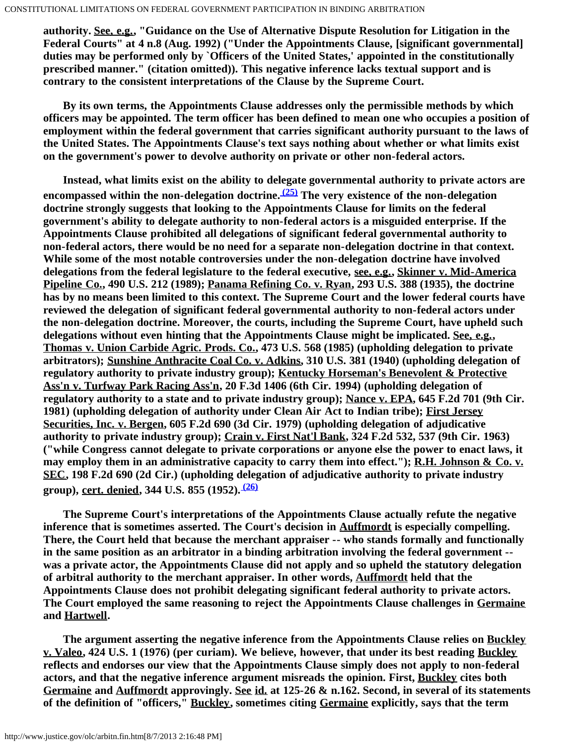**authority. See, e.g., "Guidance on the Use of Alternative Dispute Resolution for Litigation in the Federal Courts" at 4 n.8 (Aug. 1992) ("Under the Appointments Clause, [significant governmental] duties may be performed only by `Officers of the United States,' appointed in the constitutionally prescribed manner." (citation omitted)). This negative inference lacks textual support and is contrary to the consistent interpretations of the Clause by the Supreme Court.**

 **By its own terms, the Appointments Clause addresses only the permissible methods by which officers may be appointed. The term officer has been defined to mean one who occupies a position of employment within the federal government that carries significant authority pursuant to the laws of the United States. The Appointments Clause's text says nothing about whether or what limits exist on the government's power to devolve authority on private or other non-federal actors.**

 **Instead, what limits exist on the ability to delegate governmental authority to private actors are** encompassed within the non-delegation doctrine.  $(25)$  The very existence of the non-delegation **doctrine strongly suggests that looking to the Appointments Clause for limits on the federal government's ability to delegate authority to non-federal actors is a misguided enterprise. If the Appointments Clause prohibited all delegations of significant federal governmental authority to non-federal actors, there would be no need for a separate non-delegation doctrine in that context. While some of the most notable controversies under the non-delegation doctrine have involved delegations from the federal legislature to the federal executive, see, e.g., Skinner v. Mid-America Pipeline Co., 490 U.S. 212 (1989); Panama Refining Co. v. Ryan, 293 U.S. 388 (1935), the doctrine has by no means been limited to this context. The Supreme Court and the lower federal courts have reviewed the delegation of significant federal governmental authority to non-federal actors under the non-delegation doctrine. Moreover, the courts, including the Supreme Court, have upheld such delegations without even hinting that the Appointments Clause might be implicated. See, e.g., Thomas v. Union Carbide Agric. Prods. Co., 473 U.S. 568 (1985) (upholding delegation to private arbitrators); Sunshine Anthracite Coal Co. v. Adkins, 310 U.S. 381 (1940) (upholding delegation of regulatory authority to private industry group); Kentucky Horseman's Benevolent & Protective Ass'n v. Turfway Park Racing Ass'n, 20 F.3d 1406 (6th Cir. 1994) (upholding delegation of regulatory authority to a state and to private industry group); Nance v. EPA, 645 F.2d 701 (9th Cir. 1981) (upholding delegation of authority under Clean Air Act to Indian tribe); First Jersey Securities, Inc. v. Bergen, 605 F.2d 690 (3d Cir. 1979) (upholding delegation of adjudicative authority to private industry group); Crain v. First Nat'l Bank, 324 F.2d 532, 537 (9th Cir. 1963) ("while Congress cannot delegate to private corporations or anyone else the power to enact laws, it may employ them in an administrative capacity to carry them into effect."); R.H. Johnson & Co. v. SEC, 198 F.2d 690 (2d Cir.) (upholding delegation of adjudicative authority to private industry group), cert. denied, 344 U.S. 855 (1952). [\(26\)](#page-19-8)**

 **The Supreme Court's interpretations of the Appointments Clause actually refute the negative inference that is sometimes asserted. The Court's decision in Auffmordt is especially compelling. There, the Court held that because the merchant appraiser -- who stands formally and functionally in the same position as an arbitrator in a binding arbitration involving the federal government - was a private actor, the Appointments Clause did not apply and so upheld the statutory delegation of arbitral authority to the merchant appraiser. In other words, Auffmordt held that the Appointments Clause does not prohibit delegating significant federal authority to private actors. The Court employed the same reasoning to reject the Appointments Clause challenges in Germaine and Hartwell.**

 **The argument asserting the negative inference from the Appointments Clause relies on Buckley v. Valeo, 424 U.S. 1 (1976) (per curiam). We believe, however, that under its best reading Buckley reflects and endorses our view that the Appointments Clause simply does not apply to non-federal actors, and that the negative inference argument misreads the opinion. First, Buckley cites both Germaine and Auffmordt approvingly. See id. at 125-26 & n.162. Second, in several of its statements of the definition of "officers," Buckley, sometimes citing Germaine explicitly, says that the term**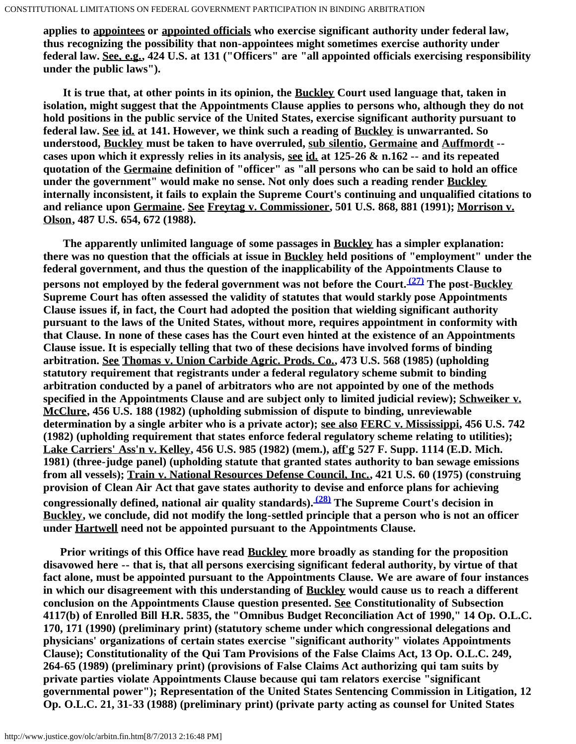**applies to appointees or appointed officials who exercise significant authority under federal law, thus recognizing the possibility that non-appointees might sometimes exercise authority under federal law. See, e.g., 424 U.S. at 131 ("Officers" are "all appointed officials exercising responsibility under the public laws").**

 **It is true that, at other points in its opinion, the Buckley Court used language that, taken in isolation, might suggest that the Appointments Clause applies to persons who, although they do not hold positions in the public service of the United States, exercise significant authority pursuant to federal law. See id. at 141. However, we think such a reading of Buckley is unwarranted. So understood, Buckley must be taken to have overruled, sub silentio, Germaine and Auffmordt - cases upon which it expressly relies in its analysis, see id. at 125-26 & n.162 -- and its repeated quotation of the Germaine definition of "officer" as "all persons who can be said to hold an office under the government" would make no sense. Not only does such a reading render Buckley internally inconsistent, it fails to explain the Supreme Court's continuing and unqualified citations to and reliance upon Germaine. See Freytag v. Commissioner, 501 U.S. 868, 881 (1991); Morrison v. Olson, 487 U.S. 654, 672 (1988).**

 **The apparently unlimited language of some passages in Buckley has a simpler explanation: there was no question that the officials at issue in Buckley held positions of "employment" under the federal government, and thus the question of the inapplicability of the Appointments Clause to persons not employed by the federal government was not before the Court.** <sup>(27)</sup> The post-Buckley **Supreme Court has often assessed the validity of statutes that would starkly pose Appointments Clause issues if, in fact, the Court had adopted the position that wielding significant authority pursuant to the laws of the United States, without more, requires appointment in conformity with that Clause. In none of these cases has the Court even hinted at the existence of an Appointments Clause issue. It is especially telling that two of these decisions have involved forms of binding arbitration. See Thomas v. Union Carbide Agric. Prods. Co., 473 U.S. 568 (1985) (upholding statutory requirement that registrants under a federal regulatory scheme submit to binding arbitration conducted by a panel of arbitrators who are not appointed by one of the methods specified in the Appointments Clause and are subject only to limited judicial review); Schweiker v. McClure, 456 U.S. 188 (1982) (upholding submission of dispute to binding, unreviewable determination by a single arbiter who is a private actor); see also FERC v. Mississippi, 456 U.S. 742 (1982) (upholding requirement that states enforce federal regulatory scheme relating to utilities); Lake Carriers' Ass'n v. Kelley, 456 U.S. 985 (1982) (mem.), aff'g 527 F. Supp. 1114 (E.D. Mich. 1981) (three-judge panel) (upholding statute that granted states authority to ban sewage emissions from all vessels); Train v. National Resources Defense Council, Inc., 421 U.S. 60 (1975) (construing provision of Clean Air Act that gave states authority to devise and enforce plans for achieving congressionally defined, national air quality standards). [\(28\)](#page-20-1) The Supreme Court's decision in Buckley, we conclude, did not modify the long-settled principle that a person who is not an officer under Hartwell need not be appointed pursuant to the Appointments Clause.**

 **Prior writings of this Office have read Buckley more broadly as standing for the proposition disavowed here -- that is, that all persons exercising significant federal authority, by virtue of that fact alone, must be appointed pursuant to the Appointments Clause. We are aware of four instances in which our disagreement with this understanding of Buckley would cause us to reach a different conclusion on the Appointments Clause question presented. See Constitutionality of Subsection 4117(b) of Enrolled Bill H.R. 5835, the "Omnibus Budget Reconciliation Act of 1990," 14 Op. O.L.C. 170, 171 (1990) (preliminary print) (statutory scheme under which congressional delegations and physicians' organizations of certain states exercise "significant authority" violates Appointments Clause); Constitutionality of the Qui Tam Provisions of the False Claims Act, 13 Op. O.L.C. 249, 264-65 (1989) (preliminary print) (provisions of False Claims Act authorizing qui tam suits by private parties violate Appointments Clause because qui tam relators exercise "significant governmental power"); Representation of the United States Sentencing Commission in Litigation, 12 Op. O.L.C. 21, 31-33 (1988) (preliminary print) (private party acting as counsel for United States**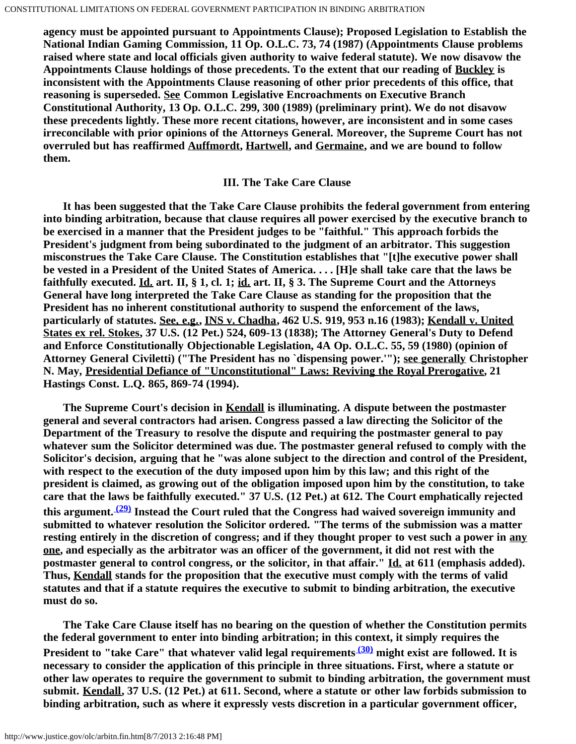**agency must be appointed pursuant to Appointments Clause); Proposed Legislation to Establish the National Indian Gaming Commission, 11 Op. O.L.C. 73, 74 (1987) (Appointments Clause problems raised where state and local officials given authority to waive federal statute). We now disavow the Appointments Clause holdings of those precedents. To the extent that our reading of Buckley is inconsistent with the Appointments Clause reasoning of other prior precedents of this office, that reasoning is superseded. See Common Legislative Encroachments on Executive Branch Constitutional Authority, 13 Op. O.L.C. 299, 300 (1989) (preliminary print). We do not disavow these precedents lightly. These more recent citations, however, are inconsistent and in some cases irreconcilable with prior opinions of the Attorneys General. Moreover, the Supreme Court has not overruled but has reaffirmed Auffmordt, Hartwell, and Germaine, and we are bound to follow them.**

## **III. The Take Care Clause**

 **It has been suggested that the Take Care Clause prohibits the federal government from entering into binding arbitration, because that clause requires all power exercised by the executive branch to be exercised in a manner that the President judges to be "faithful." This approach forbids the President's judgment from being subordinated to the judgment of an arbitrator. This suggestion misconstrues the Take Care Clause. The Constitution establishes that "[t]he executive power shall be vested in a President of the United States of America. . . . [H]e shall take care that the laws be faithfully executed. Id. art. II, § 1, cl. 1; id. art. II, § 3. The Supreme Court and the Attorneys General have long interpreted the Take Care Clause as standing for the proposition that the President has no inherent constitutional authority to suspend the enforcement of the laws, particularly of statutes. See, e.g., INS v. Chadha, 462 U.S. 919, 953 n.16 (1983); Kendall v. United States ex rel. Stokes, 37 U.S. (12 Pet.) 524, 609-13 (1838); The Attorney General's Duty to Defend and Enforce Constitutionally Objectionable Legislation, 4A Op. O.L.C. 55, 59 (1980) (opinion of Attorney General Civiletti) ("The President has no `dispensing power.'"); see generally Christopher N. May, Presidential Defiance of "Unconstitutional" Laws: Reviving the Royal Prerogative, 21 Hastings Const. L.Q. 865, 869-74 (1994).**

 **The Supreme Court's decision in Kendall is illuminating. A dispute between the postmaster general and several contractors had arisen. Congress passed a law directing the Solicitor of the Department of the Treasury to resolve the dispute and requiring the postmaster general to pay whatever sum the Solicitor determined was due. The postmaster general refused to comply with the Solicitor's decision, arguing that he "was alone subject to the direction and control of the President, with respect to the execution of the duty imposed upon him by this law; and this right of the president is claimed, as growing out of the obligation imposed upon him by the constitution, to take care that the laws be faithfully executed." 37 U.S. (12 Pet.) at 612. The Court emphatically rejected this argument. [\(29\)](#page-20-2) Instead the Court ruled that the Congress had waived sovereign immunity and submitted to whatever resolution the Solicitor ordered. "The terms of the submission was a matter resting entirely in the discretion of congress; and if they thought proper to vest such a power in any one, and especially as the arbitrator was an officer of the government, it did not rest with the postmaster general to control congress, or the solicitor, in that affair." Id. at 611 (emphasis added). Thus, Kendall stands for the proposition that the executive must comply with the terms of valid statutes and that if a statute requires the executive to submit to binding arbitration, the executive must do so.**

 **The Take Care Clause itself has no bearing on the question of whether the Constitution permits the federal government to enter into binding arbitration; in this context, it simply requires the** President to "take Care" that whatever valid legal requirements<sup>(30)</sup> might exist are followed. It is **necessary to consider the application of this principle in three situations. First, where a statute or other law operates to require the government to submit to binding arbitration, the government must submit. Kendall, 37 U.S. (12 Pet.) at 611. Second, where a statute or other law forbids submission to binding arbitration, such as where it expressly vests discretion in a particular government officer,**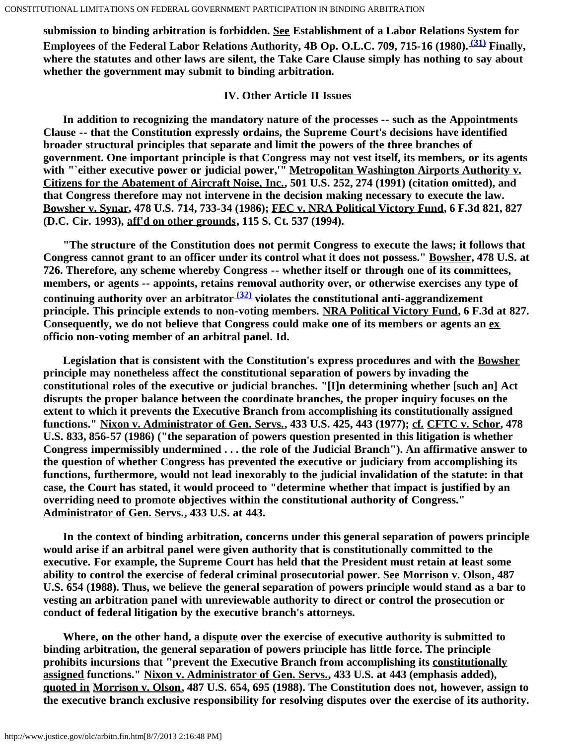**submission to binding arbitration is forbidden. See Establishment of a Labor Relations System for Employees of the Federal Labor Relations Authority, 4B Op. O.L.C. 709, 715-16 (1980). [\(31\)](#page-20-4) Finally, where the statutes and other laws are silent, the Take Care Clause simply has nothing to say about whether the government may submit to binding arbitration.**

## **IV. Other Article II Issues**

 **In addition to recognizing the mandatory nature of the processes -- such as the Appointments Clause -- that the Constitution expressly ordains, the Supreme Court's decisions have identified broader structural principles that separate and limit the powers of the three branches of government. One important principle is that Congress may not vest itself, its members, or its agents with "`either executive power or judicial power,'" Metropolitan Washington Airports Authority v. Citizens for the Abatement of Aircraft Noise, Inc., 501 U.S. 252, 274 (1991) (citation omitted), and that Congress therefore may not intervene in the decision making necessary to execute the law. Bowsher v. Synar, 478 U.S. 714, 733-34 (1986); FEC v. NRA Political Victory Fund, 6 F.3d 821, 827 (D.C. Cir. 1993), aff'd on other grounds, 115 S. Ct. 537 (1994).**

 **"The structure of the Constitution does not permit Congress to execute the laws; it follows that Congress cannot grant to an officer under its control what it does not possess." Bowsher, 478 U.S. at 726. Therefore, any scheme whereby Congress -- whether itself or through one of its committees, members, or agents -- appoints, retains removal authority over, or otherwise exercises any type of continuing authority over an arbitrator [\(32\)](#page-21-0) violates the constitutional anti-aggrandizement principle. This principle extends to non-voting members. NRA Political Victory Fund, 6 F.3d at 827. Consequently, we do not believe that Congress could make one of its members or agents an ex officio non-voting member of an arbitral panel. Id.**

 **Legislation that is consistent with the Constitution's express procedures and with the Bowsher principle may nonetheless affect the constitutional separation of powers by invading the constitutional roles of the executive or judicial branches. "[I]n determining whether [such an] Act disrupts the proper balance between the coordinate branches, the proper inquiry focuses on the extent to which it prevents the Executive Branch from accomplishing its constitutionally assigned functions." Nixon v. Administrator of Gen. Servs., 433 U.S. 425, 443 (1977); cf. CFTC v. Schor, 478 U.S. 833, 856-57 (1986) ("the separation of powers question presented in this litigation is whether Congress impermissibly undermined . . . the role of the Judicial Branch"). An affirmative answer to the question of whether Congress has prevented the executive or judiciary from accomplishing its functions, furthermore, would not lead inexorably to the judicial invalidation of the statute: in that case, the Court has stated, it would proceed to "determine whether that impact is justified by an overriding need to promote objectives within the constitutional authority of Congress." Administrator of Gen. Servs., 433 U.S. at 443.**

 **In the context of binding arbitration, concerns under this general separation of powers principle would arise if an arbitral panel were given authority that is constitutionally committed to the executive. For example, the Supreme Court has held that the President must retain at least some ability to control the exercise of federal criminal prosecutorial power. See Morrison v. Olson, 487 U.S. 654 (1988). Thus, we believe the general separation of powers principle would stand as a bar to vesting an arbitration panel with unreviewable authority to direct or control the prosecution or conduct of federal litigation by the executive branch's attorneys.**

 **Where, on the other hand, a dispute over the exercise of executive authority is submitted to binding arbitration, the general separation of powers principle has little force. The principle prohibits incursions that "prevent the Executive Branch from accomplishing its constitutionally assigned functions." Nixon v. Administrator of Gen. Servs., 433 U.S. at 443 (emphasis added), quoted in Morrison v. Olson, 487 U.S. 654, 695 (1988). The Constitution does not, however, assign to the executive branch exclusive responsibility for resolving disputes over the exercise of its authority.**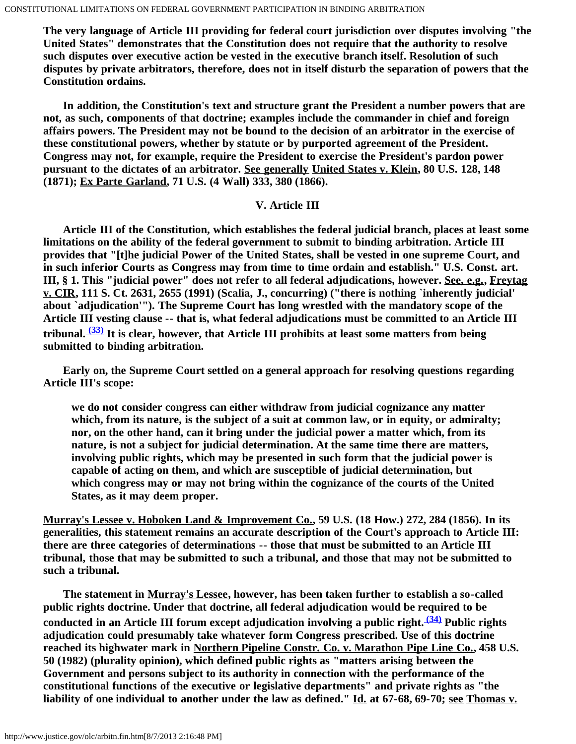**The very language of Article III providing for federal court jurisdiction over disputes involving "the United States" demonstrates that the Constitution does not require that the authority to resolve such disputes over executive action be vested in the executive branch itself. Resolution of such disputes by private arbitrators, therefore, does not in itself disturb the separation of powers that the Constitution ordains.**

 **In addition, the Constitution's text and structure grant the President a number powers that are not, as such, components of that doctrine; examples include the commander in chief and foreign affairs powers. The President may not be bound to the decision of an arbitrator in the exercise of these constitutional powers, whether by statute or by purported agreement of the President. Congress may not, for example, require the President to exercise the President's pardon power pursuant to the dictates of an arbitrator. See generally United States v. Klein, 80 U.S. 128, 148 (1871); Ex Parte Garland, 71 U.S. (4 Wall) 333, 380 (1866).**

#### **V. Article III**

 **Article III of the Constitution, which establishes the federal judicial branch, places at least some limitations on the ability of the federal government to submit to binding arbitration. Article III provides that "[t]he judicial Power of the United States, shall be vested in one supreme Court, and in such inferior Courts as Congress may from time to time ordain and establish." U.S. Const. art. III, § 1. This "judicial power" does not refer to all federal adjudications, however. See, e.g., Freytag v. CIR, 111 S. Ct. 2631, 2655 (1991) (Scalia, J., concurring) ("there is nothing `inherently judicial' about `adjudication'"). The Supreme Court has long wrestled with the mandatory scope of the Article III vesting clause -- that is, what federal adjudications must be committed to an Article III tribunal. [\(33\)](#page-21-1) It is clear, however, that Article III prohibits at least some matters from being submitted to binding arbitration.**

 **Early on, the Supreme Court settled on a general approach for resolving questions regarding Article III's scope:**

**we do not consider congress can either withdraw from judicial cognizance any matter which, from its nature, is the subject of a suit at common law, or in equity, or admiralty; nor, on the other hand, can it bring under the judicial power a matter which, from its nature, is not a subject for judicial determination. At the same time there are matters, involving public rights, which may be presented in such form that the judicial power is capable of acting on them, and which are susceptible of judicial determination, but which congress may or may not bring within the cognizance of the courts of the United States, as it may deem proper.**

**Murray's Lessee v. Hoboken Land & Improvement Co., 59 U.S. (18 How.) 272, 284 (1856). In its generalities, this statement remains an accurate description of the Court's approach to Article III: there are three categories of determinations -- those that must be submitted to an Article III tribunal, those that may be submitted to such a tribunal, and those that may not be submitted to such a tribunal.**

 **The statement in Murray's Lessee, however, has been taken further to establish a so-called public rights doctrine. Under that doctrine, all federal adjudication would be required to be conducted in an Article III forum except adjudication involving a public right. [\(34\)](#page-21-2) Public rights adjudication could presumably take whatever form Congress prescribed. Use of this doctrine reached its highwater mark in Northern Pipeline Constr. Co. v. Marathon Pipe Line Co., 458 U.S. 50 (1982) (plurality opinion), which defined public rights as "matters arising between the Government and persons subject to its authority in connection with the performance of the constitutional functions of the executive or legislative departments" and private rights as "the liability of one individual to another under the law as defined." Id. at 67-68, 69-70; see Thomas v.**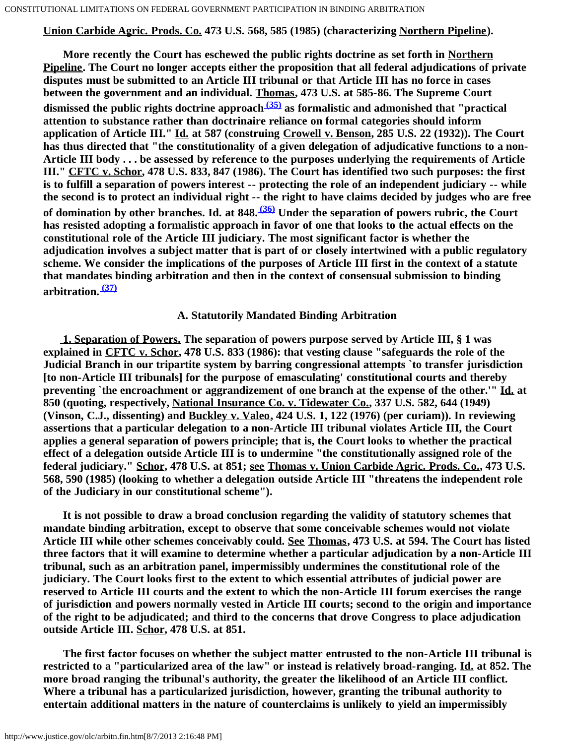## **Union Carbide Agric. Prods. Co. 473 U.S. 568, 585 (1985) (characterizing Northern Pipeline).**

 **More recently the Court has eschewed the public rights doctrine as set forth in Northern Pipeline. The Court no longer accepts either the proposition that all federal adjudications of private disputes must be submitted to an Article III tribunal or that Article III has no force in cases between the government and an individual. Thomas, 473 U.S. at 585-86. The Supreme Court dismissed the public rights doctrine approach [\(35\)](#page-21-3) as formalistic and admonished that "practical attention to substance rather than doctrinaire reliance on formal categories should inform application of Article III." Id. at 587 (construing Crowell v. Benson, 285 U.S. 22 (1932)). The Court has thus directed that "the constitutionality of a given delegation of adjudicative functions to a non-Article III body . . . be assessed by reference to the purposes underlying the requirements of Article III." CFTC v. Schor, 478 U.S. 833, 847 (1986). The Court has identified two such purposes: the first is to fulfill a separation of powers interest -- protecting the role of an independent judiciary -- while the second is to protect an individual right -- the right to have claims decided by judges who are free of domination by other branches. Id. at 848. [\(36\)](#page-21-4) Under the separation of powers rubric, the Court has resisted adopting a formalistic approach in favor of one that looks to the actual effects on the constitutional role of the Article III judiciary. The most significant factor is whether the adjudication involves a subject matter that is part of or closely intertwined with a public regulatory scheme. We consider the implications of the purposes of Article III first in the context of a statute that mandates binding arbitration and then in the context of consensual submission to binding arbitration. [\(37\)](#page-21-5)**

### **A. Statutorily Mandated Binding Arbitration**

 **1. Separation of Powers. The separation of powers purpose served by Article III, § 1 was explained in CFTC v. Schor, 478 U.S. 833 (1986): that vesting clause "safeguards the role of the Judicial Branch in our tripartite system by barring congressional attempts `to transfer jurisdiction [to non-Article III tribunals] for the purpose of emasculating' constitutional courts and thereby preventing `the encroachment or aggrandizement of one branch at the expense of the other.'" Id. at 850 (quoting, respectively, National Insurance Co. v. Tidewater Co., 337 U.S. 582, 644 (1949) (Vinson, C.J., dissenting) and Buckley v. Valeo, 424 U.S. 1, 122 (1976) (per curiam)). In reviewing assertions that a particular delegation to a non-Article III tribunal violates Article III, the Court applies a general separation of powers principle; that is, the Court looks to whether the practical effect of a delegation outside Article III is to undermine "the constitutionally assigned role of the federal judiciary." Schor, 478 U.S. at 851; see Thomas v. Union Carbide Agric. Prods. Co., 473 U.S. 568, 590 (1985) (looking to whether a delegation outside Article III "threatens the independent role of the Judiciary in our constitutional scheme").**

 **It is not possible to draw a broad conclusion regarding the validity of statutory schemes that mandate binding arbitration, except to observe that some conceivable schemes would not violate Article III while other schemes conceivably could. See Thomas, 473 U.S. at 594. The Court has listed three factors that it will examine to determine whether a particular adjudication by a non-Article III tribunal, such as an arbitration panel, impermissibly undermines the constitutional role of the judiciary. The Court looks first to the extent to which essential attributes of judicial power are reserved to Article III courts and the extent to which the non-Article III forum exercises the range of jurisdiction and powers normally vested in Article III courts; second to the origin and importance of the right to be adjudicated; and third to the concerns that drove Congress to place adjudication outside Article III. Schor, 478 U.S. at 851.**

 **The first factor focuses on whether the subject matter entrusted to the non-Article III tribunal is restricted to a "particularized area of the law" or instead is relatively broad-ranging. Id. at 852. The more broad ranging the tribunal's authority, the greater the likelihood of an Article III conflict. Where a tribunal has a particularized jurisdiction, however, granting the tribunal authority to entertain additional matters in the nature of counterclaims is unlikely to yield an impermissibly**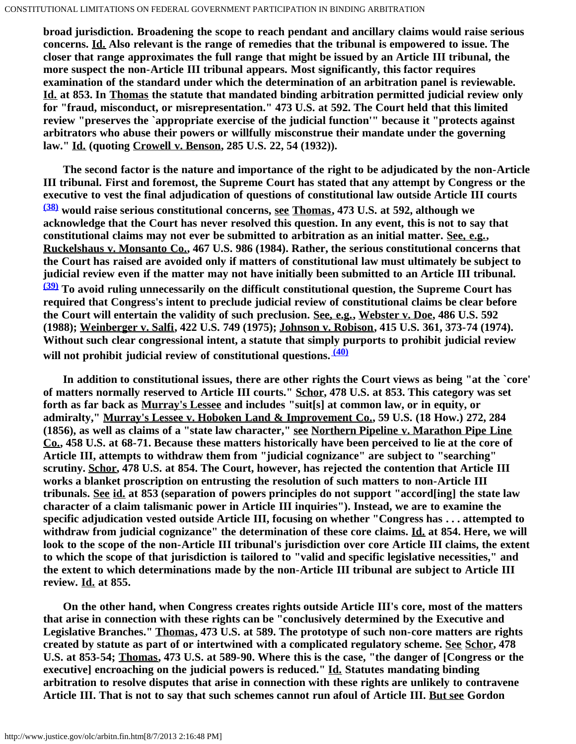**broad jurisdiction. Broadening the scope to reach pendant and ancillary claims would raise serious concerns. Id. Also relevant is the range of remedies that the tribunal is empowered to issue. The closer that range approximates the full range that might be issued by an Article III tribunal, the more suspect the non-Article III tribunal appears. Most significantly, this factor requires examination of the standard under which the determination of an arbitration panel is reviewable. Id. at 853. In Thomas the statute that mandated binding arbitration permitted judicial review only for "fraud, misconduct, or misrepresentation." 473 U.S. at 592. The Court held that this limited review "preserves the `appropriate exercise of the judicial function'" because it "protects against arbitrators who abuse their powers or willfully misconstrue their mandate under the governing law." Id. (quoting Crowell v. Benson, 285 U.S. 22, 54 (1932)).**

 **The second factor is the nature and importance of the right to be adjudicated by the non-Article III tribunal. First and foremost, the Supreme Court has stated that any attempt by Congress or the executive to vest the final adjudication of questions of constitutional law outside Article III courts [\(38\)](#page-22-0) would raise serious constitutional concerns, see Thomas, 473 U.S. at 592, although we acknowledge that the Court has never resolved this question. In any event, this is not to say that constitutional claims may not ever be submitted to arbitration as an initial matter. See, e.g., Ruckelshaus v. Monsanto Co., 467 U.S. 986 (1984). Rather, the serious constitutional concerns that the Court has raised are avoided only if matters of constitutional law must ultimately be subject to judicial review even if the matter may not have initially been submitted to an Article III tribunal. [\(39\)](#page-22-1) To avoid ruling unnecessarily on the difficult constitutional question, the Supreme Court has required that Congress's intent to preclude judicial review of constitutional claims be clear before the Court will entertain the validity of such preclusion. See, e.g., Webster v. Doe, 486 U.S. 592 (1988); Weinberger v. Salfi, 422 U.S. 749 (1975); Johnson v. Robison, 415 U.S. 361, 373-74 (1974). Without such clear congressional intent, a statute that simply purports to prohibit judicial review will not prohibit judicial review of constitutional questions. [\(40\)](#page-22-2)**

 **In addition to constitutional issues, there are other rights the Court views as being "at the `core' of matters normally reserved to Article III courts." Schor, 478 U.S. at 853. This category was set forth as far back as Murray's Lessee and includes "suit[s] at common law, or in equity, or admiralty," Murray's Lessee v. Hoboken Land & Improvement Co., 59 U.S. (18 How.) 272, 284 (1856), as well as claims of a "state law character," see Northern Pipeline v. Marathon Pipe Line Co., 458 U.S. at 68-71. Because these matters historically have been perceived to lie at the core of Article III, attempts to withdraw them from "judicial cognizance" are subject to "searching" scrutiny. Schor, 478 U.S. at 854. The Court, however, has rejected the contention that Article III works a blanket proscription on entrusting the resolution of such matters to non-Article III tribunals. See id. at 853 (separation of powers principles do not support "accord[ing] the state law character of a claim talismanic power in Article III inquiries"). Instead, we are to examine the specific adjudication vested outside Article III, focusing on whether "Congress has . . . attempted to withdraw from judicial cognizance" the determination of these core claims. Id. at 854. Here, we will look to the scope of the non-Article III tribunal's jurisdiction over core Article III claims, the extent to which the scope of that jurisdiction is tailored to "valid and specific legislative necessities," and the extent to which determinations made by the non-Article III tribunal are subject to Article III review. Id. at 855.**

 **On the other hand, when Congress creates rights outside Article III's core, most of the matters that arise in connection with these rights can be "conclusively determined by the Executive and Legislative Branches." Thomas, 473 U.S. at 589. The prototype of such non-core matters are rights created by statute as part of or intertwined with a complicated regulatory scheme. See Schor, 478 U.S. at 853-54; Thomas, 473 U.S. at 589-90. Where this is the case, "the danger of [Congress or the executive] encroaching on the judicial powers is reduced." Id. Statutes mandating binding arbitration to resolve disputes that arise in connection with these rights are unlikely to contravene Article III. That is not to say that such schemes cannot run afoul of Article III. But see Gordon**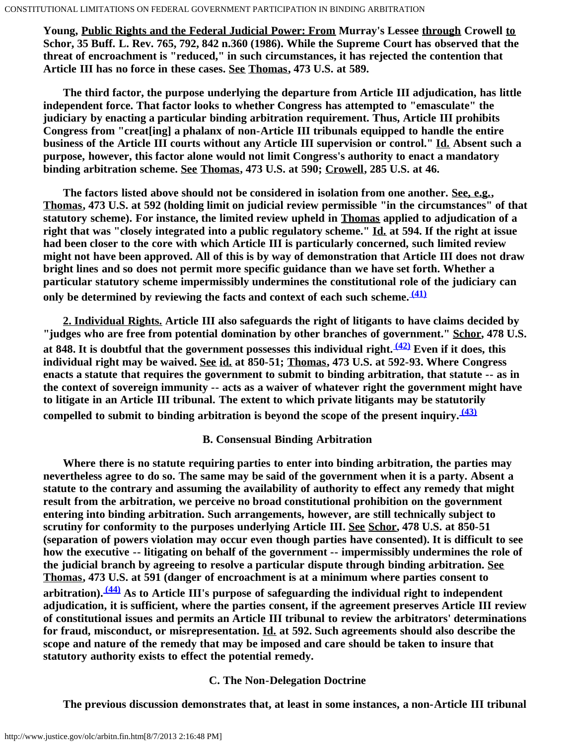**Young, Public Rights and the Federal Judicial Power: From Murray's Lessee through Crowell to Schor, 35 Buff. L. Rev. 765, 792, 842 n.360 (1986). While the Supreme Court has observed that the threat of encroachment is "reduced," in such circumstances, it has rejected the contention that Article III has no force in these cases. See Thomas, 473 U.S. at 589.**

 **The third factor, the purpose underlying the departure from Article III adjudication, has little independent force. That factor looks to whether Congress has attempted to "emasculate" the judiciary by enacting a particular binding arbitration requirement. Thus, Article III prohibits Congress from "creat[ing] a phalanx of non-Article III tribunals equipped to handle the entire business of the Article III courts without any Article III supervision or control." Id. Absent such a purpose, however, this factor alone would not limit Congress's authority to enact a mandatory binding arbitration scheme. See Thomas, 473 U.S. at 590; Crowell, 285 U.S. at 46.**

 **The factors listed above should not be considered in isolation from one another. See, e.g., Thomas, 473 U.S. at 592 (holding limit on judicial review permissible "in the circumstances" of that statutory scheme). For instance, the limited review upheld in Thomas applied to adjudication of a right that was "closely integrated into a public regulatory scheme." Id. at 594. If the right at issue had been closer to the core with which Article III is particularly concerned, such limited review might not have been approved. All of this is by way of demonstration that Article III does not draw bright lines and so does not permit more specific guidance than we have set forth. Whether a particular statutory scheme impermissibly undermines the constitutional role of the judiciary can only be determined by reviewing the facts and context of each such scheme. [\(41\)](#page-22-3)**

 **2. Individual Rights. Article III also safeguards the right of litigants to have claims decided by "judges who are free from potential domination by other branches of government." Schor, 478 U.S. at 848. It is doubtful that the government possesses this individual right. [\(42\)](#page-22-4) Even if it does, this individual right may be waived. See id. at 850-51; Thomas, 473 U.S. at 592-93. Where Congress enacts a statute that requires the government to submit to binding arbitration, that statute -- as in the context of sovereign immunity -- acts as a waiver of whatever right the government might have to litigate in an Article III tribunal. The extent to which private litigants may be statutorily compelled to submit to binding arbitration is beyond the scope of the present inquiry. [\(43\)](#page-22-5)**

## **B. Consensual Binding Arbitration**

 **Where there is no statute requiring parties to enter into binding arbitration, the parties may nevertheless agree to do so. The same may be said of the government when it is a party. Absent a statute to the contrary and assuming the availability of authority to effect any remedy that might result from the arbitration, we perceive no broad constitutional prohibition on the government entering into binding arbitration. Such arrangements, however, are still technically subject to scrutiny for conformity to the purposes underlying Article III. See Schor, 478 U.S. at 850-51 (separation of powers violation may occur even though parties have consented). It is difficult to see how the executive -- litigating on behalf of the government -- impermissibly undermines the role of the judicial branch by agreeing to resolve a particular dispute through binding arbitration. See Thomas, 473 U.S. at 591 (danger of encroachment is at a minimum where parties consent to arbitration). [\(44\)](#page-22-6) As to Article III's purpose of safeguarding the individual right to independent adjudication, it is sufficient, where the parties consent, if the agreement preserves Article III review of constitutional issues and permits an Article III tribunal to review the arbitrators' determinations for fraud, misconduct, or misrepresentation. Id. at 592. Such agreements should also describe the scope and nature of the remedy that may be imposed and care should be taken to insure that statutory authority exists to effect the potential remedy.**

## **C. The Non-Delegation Doctrine**

 **The previous discussion demonstrates that, at least in some instances, a non-Article III tribunal**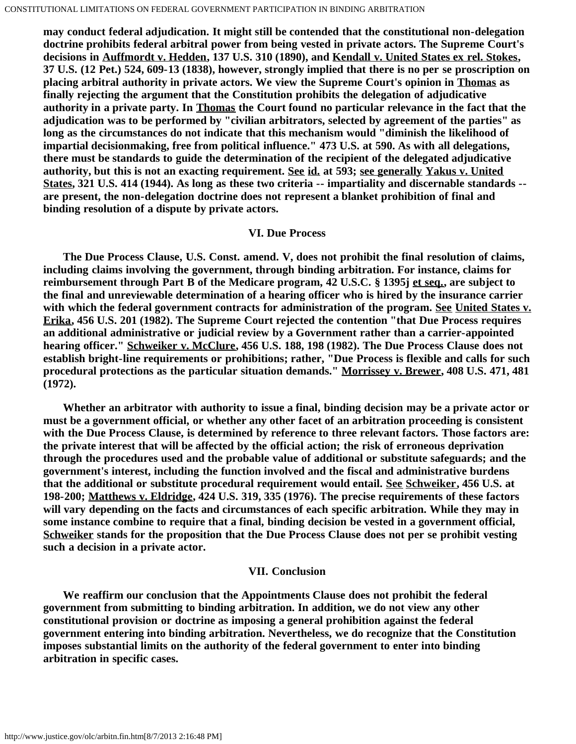**may conduct federal adjudication. It might still be contended that the constitutional non-delegation doctrine prohibits federal arbitral power from being vested in private actors. The Supreme Court's decisions in Auffmordt v. Hedden, 137 U.S. 310 (1890), and Kendall v. United States ex rel. Stokes, 37 U.S. (12 Pet.) 524, 609-13 (1838), however, strongly implied that there is no per se proscription on placing arbitral authority in private actors. We view the Supreme Court's opinion in Thomas as finally rejecting the argument that the Constitution prohibits the delegation of adjudicative authority in a private party. In Thomas the Court found no particular relevance in the fact that the adjudication was to be performed by "civilian arbitrators, selected by agreement of the parties" as long as the circumstances do not indicate that this mechanism would "diminish the likelihood of impartial decisionmaking, free from political influence." 473 U.S. at 590. As with all delegations, there must be standards to guide the determination of the recipient of the delegated adjudicative authority, but this is not an exacting requirement. See id. at 593; see generally Yakus v. United States, 321 U.S. 414 (1944). As long as these two criteria -- impartiality and discernable standards - are present, the non-delegation doctrine does not represent a blanket prohibition of final and binding resolution of a dispute by private actors.**

## **VI. Due Process**

 **The Due Process Clause, U.S. Const. amend. V, does not prohibit the final resolution of claims, including claims involving the government, through binding arbitration. For instance, claims for reimbursement through Part B of the Medicare program, 42 U.S.C. § 1395j et seq., are subject to the final and unreviewable determination of a hearing officer who is hired by the insurance carrier with which the federal government contracts for administration of the program. See United States v. Erika, 456 U.S. 201 (1982). The Supreme Court rejected the contention "that Due Process requires an additional administrative or judicial review by a Government rather than a carrier-appointed hearing officer." Schweiker v. McClure, 456 U.S. 188, 198 (1982). The Due Process Clause does not establish bright-line requirements or prohibitions; rather, "Due Process is flexible and calls for such procedural protections as the particular situation demands." Morrissey v. Brewer, 408 U.S. 471, 481 (1972).**

 **Whether an arbitrator with authority to issue a final, binding decision may be a private actor or must be a government official, or whether any other facet of an arbitration proceeding is consistent with the Due Process Clause, is determined by reference to three relevant factors. Those factors are: the private interest that will be affected by the official action; the risk of erroneous deprivation through the procedures used and the probable value of additional or substitute safeguards; and the government's interest, including the function involved and the fiscal and administrative burdens that the additional or substitute procedural requirement would entail. See Schweiker, 456 U.S. at 198-200; Matthews v. Eldridge, 424 U.S. 319, 335 (1976). The precise requirements of these factors will vary depending on the facts and circumstances of each specific arbitration. While they may in some instance combine to require that a final, binding decision be vested in a government official, Schweiker stands for the proposition that the Due Process Clause does not per se prohibit vesting such a decision in a private actor.**

## **VII. Conclusion**

 **We reaffirm our conclusion that the Appointments Clause does not prohibit the federal government from submitting to binding arbitration. In addition, we do not view any other constitutional provision or doctrine as imposing a general prohibition against the federal government entering into binding arbitration. Nevertheless, we do recognize that the Constitution imposes substantial limits on the authority of the federal government to enter into binding arbitration in specific cases.**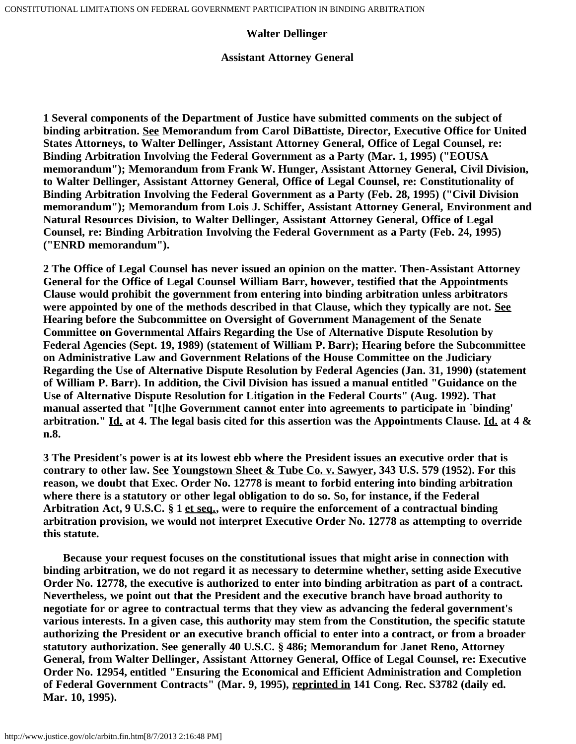## **Walter Dellinger**

### **Assistant Attorney General**

<span id="page-15-0"></span>**1 Several components of the Department of Justice have submitted comments on the subject of binding arbitration. See Memorandum from Carol DiBattiste, Director, Executive Office for United States Attorneys, to Walter Dellinger, Assistant Attorney General, Office of Legal Counsel, re: Binding Arbitration Involving the Federal Government as a Party (Mar. 1, 1995) ("EOUSA memorandum"); Memorandum from Frank W. Hunger, Assistant Attorney General, Civil Division, to Walter Dellinger, Assistant Attorney General, Office of Legal Counsel, re: Constitutionality of Binding Arbitration Involving the Federal Government as a Party (Feb. 28, 1995) ("Civil Division memorandum"); Memorandum from Lois J. Schiffer, Assistant Attorney General, Environment and Natural Resources Division, to Walter Dellinger, Assistant Attorney General, Office of Legal Counsel, re: Binding Arbitration Involving the Federal Government as a Party (Feb. 24, 1995) ("ENRD memorandum").**

<span id="page-15-1"></span>**2 The Office of Legal Counsel has never issued an opinion on the matter. Then-Assistant Attorney General for the Office of Legal Counsel William Barr, however, testified that the Appointments Clause would prohibit the government from entering into binding arbitration unless arbitrators were appointed by one of the methods described in that Clause, which they typically are not. See Hearing before the Subcommittee on Oversight of Government Management of the Senate Committee on Governmental Affairs Regarding the Use of Alternative Dispute Resolution by Federal Agencies (Sept. 19, 1989) (statement of William P. Barr); Hearing before the Subcommittee on Administrative Law and Government Relations of the House Committee on the Judiciary Regarding the Use of Alternative Dispute Resolution by Federal Agencies (Jan. 31, 1990) (statement of William P. Barr). In addition, the Civil Division has issued a manual entitled "Guidance on the Use of Alternative Dispute Resolution for Litigation in the Federal Courts" (Aug. 1992). That manual asserted that "[t]he Government cannot enter into agreements to participate in `binding' arbitration." Id. at 4. The legal basis cited for this assertion was the Appointments Clause. Id. at 4 & n.8.**

<span id="page-15-2"></span>**3 The President's power is at its lowest ebb where the President issues an executive order that is contrary to other law. See Youngstown Sheet & Tube Co. v. Sawyer, 343 U.S. 579 (1952). For this reason, we doubt that Exec. Order No. 12778 is meant to forbid entering into binding arbitration where there is a statutory or other legal obligation to do so. So, for instance, if the Federal Arbitration Act, 9 U.S.C. § 1 et seq., were to require the enforcement of a contractual binding arbitration provision, we would not interpret Executive Order No. 12778 as attempting to override this statute.**

 **Because your request focuses on the constitutional issues that might arise in connection with binding arbitration, we do not regard it as necessary to determine whether, setting aside Executive Order No. 12778, the executive is authorized to enter into binding arbitration as part of a contract. Nevertheless, we point out that the President and the executive branch have broad authority to negotiate for or agree to contractual terms that they view as advancing the federal government's various interests. In a given case, this authority may stem from the Constitution, the specific statute authorizing the President or an executive branch official to enter into a contract, or from a broader statutory authorization. See generally 40 U.S.C. § 486; Memorandum for Janet Reno, Attorney General, from Walter Dellinger, Assistant Attorney General, Office of Legal Counsel, re: Executive Order No. 12954, entitled "Ensuring the Economical and Efficient Administration and Completion of Federal Government Contracts" (Mar. 9, 1995), reprinted in 141 Cong. Rec. S3782 (daily ed. Mar. 10, 1995).**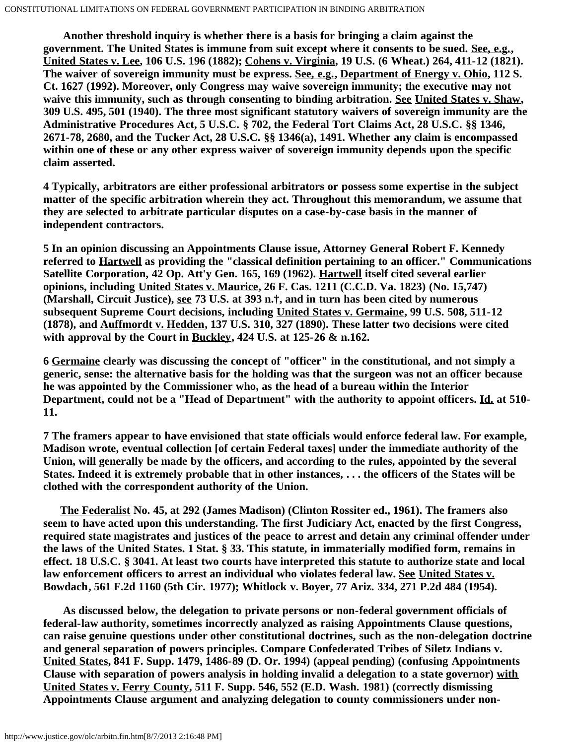**Another threshold inquiry is whether there is a basis for bringing a claim against the government. The United States is immune from suit except where it consents to be sued. See, e.g., United States v. Lee, 106 U.S. 196 (1882); Cohens v. Virginia, 19 U.S. (6 Wheat.) 264, 411-12 (1821). The waiver of sovereign immunity must be express. See, e.g., Department of Energy v. Ohio, 112 S. Ct. 1627 (1992). Moreover, only Congress may waive sovereign immunity; the executive may not waive this immunity, such as through consenting to binding arbitration. See United States v. Shaw, 309 U.S. 495, 501 (1940). The three most significant statutory waivers of sovereign immunity are the Administrative Procedures Act, 5 U.S.C. § 702, the Federal Tort Claims Act, 28 U.S.C. §§ 1346, 2671-78, 2680, and the Tucker Act, 28 U.S.C. §§ 1346(a), 1491. Whether any claim is encompassed within one of these or any other express waiver of sovereign immunity depends upon the specific claim asserted.**

<span id="page-16-0"></span>**4 Typically, arbitrators are either professional arbitrators or possess some expertise in the subject matter of the specific arbitration wherein they act. Throughout this memorandum, we assume that they are selected to arbitrate particular disputes on a case-by-case basis in the manner of independent contractors.**

<span id="page-16-1"></span>**5 In an opinion discussing an Appointments Clause issue, Attorney General Robert F. Kennedy referred to Hartwell as providing the "classical definition pertaining to an officer." Communications Satellite Corporation, 42 Op. Att'y Gen. 165, 169 (1962). Hartwell itself cited several earlier opinions, including United States v. Maurice, 26 F. Cas. 1211 (C.C.D. Va. 1823) (No. 15,747) (Marshall, Circuit Justice), see 73 U.S. at 393 n.†, and in turn has been cited by numerous subsequent Supreme Court decisions, including United States v. Germaine, 99 U.S. 508, 511-12 (1878), and Auffmordt v. Hedden, 137 U.S. 310, 327 (1890). These latter two decisions were cited with approval by the Court in Buckley, 424 U.S. at 125-26 & n.162.**

<span id="page-16-2"></span>**6 Germaine clearly was discussing the concept of "officer" in the constitutional, and not simply a generic, sense: the alternative basis for the holding was that the surgeon was not an officer because he was appointed by the Commissioner who, as the head of a bureau within the Interior Department, could not be a "Head of Department" with the authority to appoint officers. Id. at 510- 11.**

<span id="page-16-3"></span>**7 The framers appear to have envisioned that state officials would enforce federal law. For example, Madison wrote, eventual collection [of certain Federal taxes] under the immediate authority of the Union, will generally be made by the officers, and according to the rules, appointed by the several States. Indeed it is extremely probable that in other instances, . . . the officers of the States will be clothed with the correspondent authority of the Union.**

 **The Federalist No. 45, at 292 (James Madison) (Clinton Rossiter ed., 1961). The framers also seem to have acted upon this understanding. The first Judiciary Act, enacted by the first Congress, required state magistrates and justices of the peace to arrest and detain any criminal offender under the laws of the United States. 1 Stat. § 33. This statute, in immaterially modified form, remains in effect. 18 U.S.C. § 3041. At least two courts have interpreted this statute to authorize state and local law enforcement officers to arrest an individual who violates federal law. See United States v. Bowdach, 561 F.2d 1160 (5th Cir. 1977); Whitlock v. Boyer, 77 Ariz. 334, 271 P.2d 484 (1954).**

 **As discussed below, the delegation to private persons or non-federal government officials of federal-law authority, sometimes incorrectly analyzed as raising Appointments Clause questions, can raise genuine questions under other constitutional doctrines, such as the non-delegation doctrine and general separation of powers principles. Compare Confederated Tribes of Siletz Indians v. United States, 841 F. Supp. 1479, 1486-89 (D. Or. 1994) (appeal pending) (confusing Appointments Clause with separation of powers analysis in holding invalid a delegation to a state governor) with United States v. Ferry County, 511 F. Supp. 546, 552 (E.D. Wash. 1981) (correctly dismissing Appointments Clause argument and analyzing delegation to county commissioners under non-**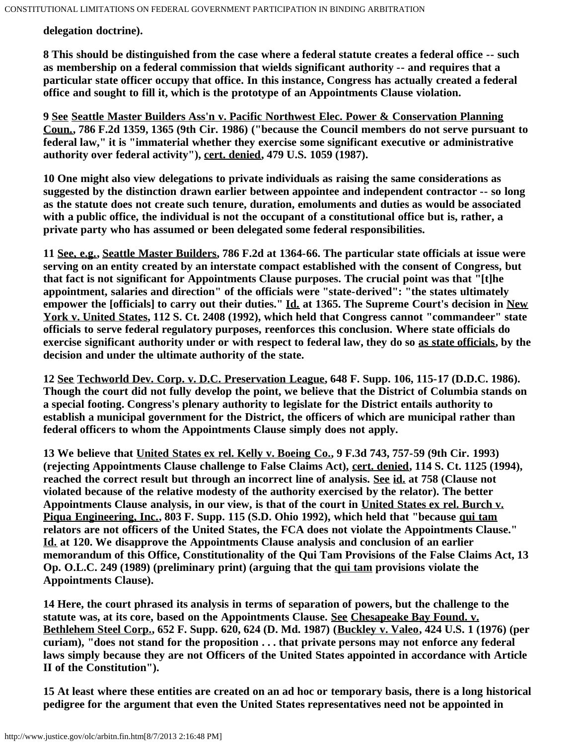**delegation doctrine).**

<span id="page-17-0"></span>**8 This should be distinguished from the case where a federal statute creates a federal office -- such as membership on a federal commission that wields significant authority -- and requires that a particular state officer occupy that office. In this instance, Congress has actually created a federal office and sought to fill it, which is the prototype of an Appointments Clause violation.**

<span id="page-17-1"></span>**9 See Seattle Master Builders Ass'n v. Pacific Northwest Elec. Power & Conservation Planning Coun., 786 F.2d 1359, 1365 (9th Cir. 1986) ("because the Council members do not serve pursuant to federal law," it is "immaterial whether they exercise some significant executive or administrative authority over federal activity"), cert. denied, 479 U.S. 1059 (1987).**

<span id="page-17-2"></span>**10 One might also view delegations to private individuals as raising the same considerations as suggested by the distinction drawn earlier between appointee and independent contractor -- so long as the statute does not create such tenure, duration, emoluments and duties as would be associated with a public office, the individual is not the occupant of a constitutional office but is, rather, a private party who has assumed or been delegated some federal responsibilities.**

<span id="page-17-3"></span>**11 See, e.g., Seattle Master Builders, 786 F.2d at 1364-66. The particular state officials at issue were serving on an entity created by an interstate compact established with the consent of Congress, but that fact is not significant for Appointments Clause purposes. The crucial point was that "[t]he appointment, salaries and direction" of the officials were "state-derived": "the states ultimately empower the [officials] to carry out their duties." Id. at 1365. The Supreme Court's decision in New York v. United States, 112 S. Ct. 2408 (1992), which held that Congress cannot "commandeer" state officials to serve federal regulatory purposes, reenforces this conclusion. Where state officials do exercise significant authority under or with respect to federal law, they do so as state officials, by the decision and under the ultimate authority of the state.**

<span id="page-17-4"></span>**12 See Techworld Dev. Corp. v. D.C. Preservation League, 648 F. Supp. 106, 115-17 (D.D.C. 1986). Though the court did not fully develop the point, we believe that the District of Columbia stands on a special footing. Congress's plenary authority to legislate for the District entails authority to establish a municipal government for the District, the officers of which are municipal rather than federal officers to whom the Appointments Clause simply does not apply.**

<span id="page-17-5"></span>**13 We believe that United States ex rel. Kelly v. Boeing Co., 9 F.3d 743, 757-59 (9th Cir. 1993) (rejecting Appointments Clause challenge to False Claims Act), cert. denied, 114 S. Ct. 1125 (1994), reached the correct result but through an incorrect line of analysis. See id. at 758 (Clause not violated because of the relative modesty of the authority exercised by the relator). The better Appointments Clause analysis, in our view, is that of the court in United States ex rel. Burch v. Piqua Engineering, Inc., 803 F. Supp. 115 (S.D. Ohio 1992), which held that "because qui tam relators are not officers of the United States, the FCA does not violate the Appointments Clause." Id. at 120. We disapprove the Appointments Clause analysis and conclusion of an earlier memorandum of this Office, Constitutionality of the Qui Tam Provisions of the False Claims Act, 13 Op. O.L.C. 249 (1989) (preliminary print) (arguing that the qui tam provisions violate the Appointments Clause).**

<span id="page-17-6"></span>**14 Here, the court phrased its analysis in terms of separation of powers, but the challenge to the statute was, at its core, based on the Appointments Clause. See Chesapeake Bay Found. v. Bethlehem Steel Corp., 652 F. Supp. 620, 624 (D. Md. 1987) (Buckley v. Valeo, 424 U.S. 1 (1976) (per curiam), "does not stand for the proposition . . . that private persons may not enforce any federal laws simply because they are not Officers of the United States appointed in accordance with Article II of the Constitution").**

<span id="page-17-7"></span>**15 At least where these entities are created on an ad hoc or temporary basis, there is a long historical pedigree for the argument that even the United States representatives need not be appointed in**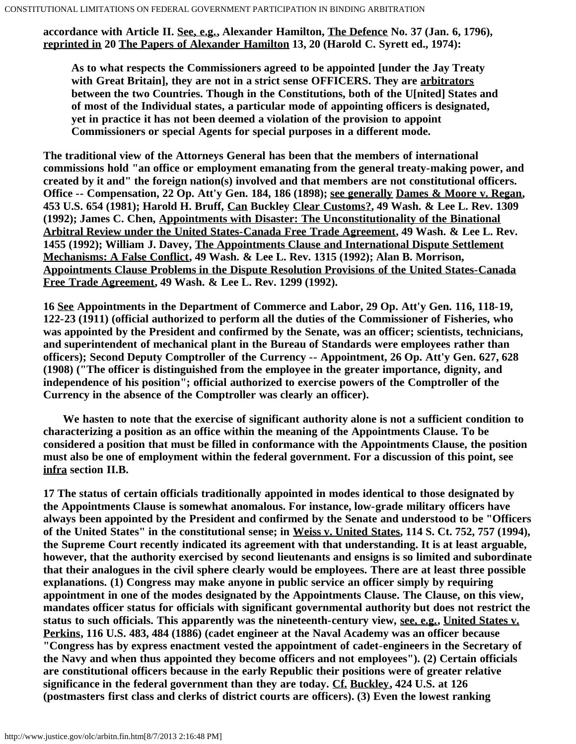**accordance with Article II. See, e.g., Alexander Hamilton, The Defence No. 37 (Jan. 6, 1796), reprinted in 20 The Papers of Alexander Hamilton 13, 20 (Harold C. Syrett ed., 1974):**

**As to what respects the Commissioners agreed to be appointed [under the Jay Treaty with Great Britain], they are not in a strict sense OFFICERS. They are arbitrators between the two Countries. Though in the Constitutions, both of the U[nited] States and of most of the Individual states, a particular mode of appointing officers is designated, yet in practice it has not been deemed a violation of the provision to appoint Commissioners or special Agents for special purposes in a different mode.**

**The traditional view of the Attorneys General has been that the members of international commissions hold "an office or employment emanating from the general treaty-making power, and created by it and" the foreign nation(s) involved and that members are not constitutional officers. Office -- Compensation, 22 Op. Att'y Gen. 184, 186 (1898); see generally Dames & Moore v. Regan, 453 U.S. 654 (1981); Harold H. Bruff, Can Buckley Clear Customs?, 49 Wash. & Lee L. Rev. 1309 (1992); James C. Chen, Appointments with Disaster: The Unconstitutionality of the Binational Arbitral Review under the United States-Canada Free Trade Agreement, 49 Wash. & Lee L. Rev. 1455 (1992); William J. Davey, The Appointments Clause and International Dispute Settlement Mechanisms: A False Conflict, 49 Wash. & Lee L. Rev. 1315 (1992); Alan B. Morrison, Appointments Clause Problems in the Dispute Resolution Provisions of the United States-Canada Free Trade Agreement, 49 Wash. & Lee L. Rev. 1299 (1992).**

<span id="page-18-0"></span>**16 See Appointments in the Department of Commerce and Labor, 29 Op. Att'y Gen. 116, 118-19, 122-23 (1911) (official authorized to perform all the duties of the Commissioner of Fisheries, who was appointed by the President and confirmed by the Senate, was an officer; scientists, technicians, and superintendent of mechanical plant in the Bureau of Standards were employees rather than officers); Second Deputy Comptroller of the Currency -- Appointment, 26 Op. Att'y Gen. 627, 628 (1908) ("The officer is distinguished from the employee in the greater importance, dignity, and independence of his position"; official authorized to exercise powers of the Comptroller of the Currency in the absence of the Comptroller was clearly an officer).**

 **We hasten to note that the exercise of significant authority alone is not a sufficient condition to characterizing a position as an office within the meaning of the Appointments Clause. To be considered a position that must be filled in conformance with the Appointments Clause, the position must also be one of employment within the federal government. For a discussion of this point, see infra section II.B.**

<span id="page-18-1"></span>**17 The status of certain officials traditionally appointed in modes identical to those designated by the Appointments Clause is somewhat anomalous. For instance, low-grade military officers have always been appointed by the President and confirmed by the Senate and understood to be "Officers of the United States" in the constitutional sense; in Weiss v. United States, 114 S. Ct. 752, 757 (1994), the Supreme Court recently indicated its agreement with that understanding. It is at least arguable, however, that the authority exercised by second lieutenants and ensigns is so limited and subordinate that their analogues in the civil sphere clearly would be employees. There are at least three possible explanations. (1) Congress may make anyone in public service an officer simply by requiring appointment in one of the modes designated by the Appointments Clause. The Clause, on this view, mandates officer status for officials with significant governmental authority but does not restrict the status to such officials. This apparently was the nineteenth-century view, see, e.g., United States v. Perkins, 116 U.S. 483, 484 (1886) (cadet engineer at the Naval Academy was an officer because "Congress has by express enactment vested the appointment of cadet-engineers in the Secretary of the Navy and when thus appointed they become officers and not employees"). (2) Certain officials are constitutional officers because in the early Republic their positions were of greater relative significance in the federal government than they are today. Cf. Buckley, 424 U.S. at 126 (postmasters first class and clerks of district courts are officers). (3) Even the lowest ranking**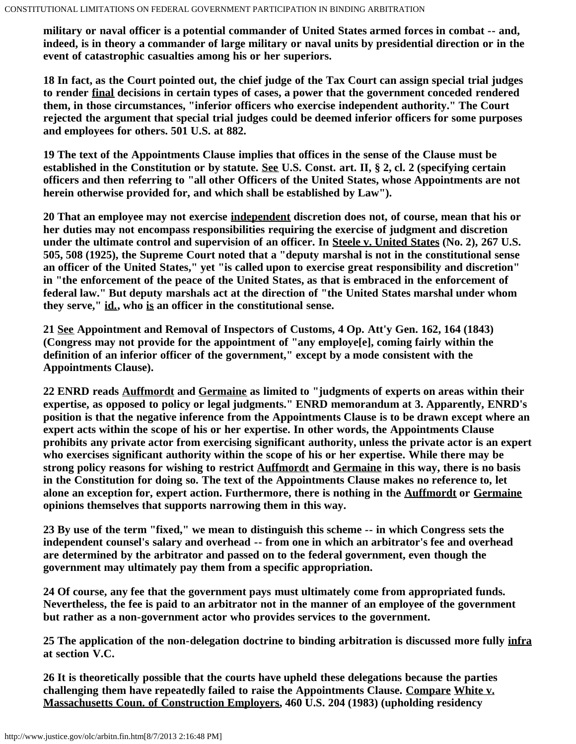**military or naval officer is a potential commander of United States armed forces in combat -- and, indeed, is in theory a commander of large military or naval units by presidential direction or in the event of catastrophic casualties among his or her superiors.**

<span id="page-19-0"></span>**18 In fact, as the Court pointed out, the chief judge of the Tax Court can assign special trial judges to render final decisions in certain types of cases, a power that the government conceded rendered them, in those circumstances, "inferior officers who exercise independent authority." The Court rejected the argument that special trial judges could be deemed inferior officers for some purposes and employees for others. 501 U.S. at 882.**

<span id="page-19-1"></span>**19 The text of the Appointments Clause implies that offices in the sense of the Clause must be established in the Constitution or by statute. See U.S. Const. art. II, § 2, cl. 2 (specifying certain officers and then referring to "all other Officers of the United States, whose Appointments are not herein otherwise provided for, and which shall be established by Law").**

<span id="page-19-2"></span>**20 That an employee may not exercise independent discretion does not, of course, mean that his or her duties may not encompass responsibilities requiring the exercise of judgment and discretion under the ultimate control and supervision of an officer. In Steele v. United States (No. 2), 267 U.S. 505, 508 (1925), the Supreme Court noted that a "deputy marshal is not in the constitutional sense an officer of the United States," yet "is called upon to exercise great responsibility and discretion" in "the enforcement of the peace of the United States, as that is embraced in the enforcement of federal law." But deputy marshals act at the direction of "the United States marshal under whom they serve," id., who is an officer in the constitutional sense.**

<span id="page-19-3"></span>**21 See Appointment and Removal of Inspectors of Customs, 4 Op. Att'y Gen. 162, 164 (1843) (Congress may not provide for the appointment of "any employe[e], coming fairly within the definition of an inferior officer of the government," except by a mode consistent with the Appointments Clause).**

<span id="page-19-4"></span>**22 ENRD reads Auffmordt and Germaine as limited to "judgments of experts on areas within their expertise, as opposed to policy or legal judgments." ENRD memorandum at 3. Apparently, ENRD's position is that the negative inference from the Appointments Clause is to be drawn except where an expert acts within the scope of his or her expertise. In other words, the Appointments Clause prohibits any private actor from exercising significant authority, unless the private actor is an expert who exercises significant authority within the scope of his or her expertise. While there may be strong policy reasons for wishing to restrict Auffmordt and Germaine in this way, there is no basis in the Constitution for doing so. The text of the Appointments Clause makes no reference to, let alone an exception for, expert action. Furthermore, there is nothing in the Auffmordt or Germaine opinions themselves that supports narrowing them in this way.**

<span id="page-19-5"></span>**23 By use of the term "fixed," we mean to distinguish this scheme -- in which Congress sets the independent counsel's salary and overhead -- from one in which an arbitrator's fee and overhead are determined by the arbitrator and passed on to the federal government, even though the government may ultimately pay them from a specific appropriation.**

<span id="page-19-6"></span>**24 Of course, any fee that the government pays must ultimately come from appropriated funds. Nevertheless, the fee is paid to an arbitrator not in the manner of an employee of the government but rather as a non-government actor who provides services to the government.**

<span id="page-19-7"></span>**25 The application of the non-delegation doctrine to binding arbitration is discussed more fully infra at section V.C.**

<span id="page-19-8"></span>**26 It is theoretically possible that the courts have upheld these delegations because the parties challenging them have repeatedly failed to raise the Appointments Clause. Compare White v. Massachusetts Coun. of Construction Employers, 460 U.S. 204 (1983) (upholding residency**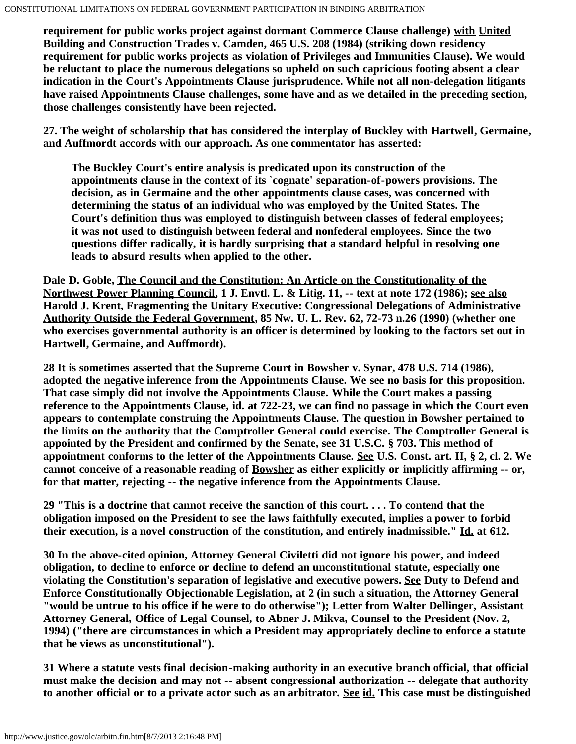**requirement for public works project against dormant Commerce Clause challenge) with United Building and Construction Trades v. Camden, 465 U.S. 208 (1984) (striking down residency requirement for public works projects as violation of Privileges and Immunities Clause). We would be reluctant to place the numerous delegations so upheld on such capricious footing absent a clear indication in the Court's Appointments Clause jurisprudence. While not all non-delegation litigants have raised Appointments Clause challenges, some have and as we detailed in the preceding section, those challenges consistently have been rejected.**

<span id="page-20-0"></span>**27. The weight of scholarship that has considered the interplay of Buckley with Hartwell, Germaine, and Auffmordt accords with our approach. As one commentator has asserted:**

**The Buckley Court's entire analysis is predicated upon its construction of the appointments clause in the context of its `cognate' separation-of-powers provisions. The decision, as in Germaine and the other appointments clause cases, was concerned with determining the status of an individual who was employed by the United States. The Court's definition thus was employed to distinguish between classes of federal employees; it was not used to distinguish between federal and nonfederal employees. Since the two questions differ radically, it is hardly surprising that a standard helpful in resolving one leads to absurd results when applied to the other.**

**Dale D. Goble, The Council and the Constitution: An Article on the Constitutionality of the Northwest Power Planning Council, 1 J. Envtl. L. & Litig. 11, -- text at note 172 (1986); see also Harold J. Krent, Fragmenting the Unitary Executive: Congressional Delegations of Administrative Authority Outside the Federal Government, 85 Nw. U. L. Rev. 62, 72-73 n.26 (1990) (whether one who exercises governmental authority is an officer is determined by looking to the factors set out in Hartwell, Germaine, and Auffmordt).**

<span id="page-20-1"></span>**28 It is sometimes asserted that the Supreme Court in Bowsher v. Synar, 478 U.S. 714 (1986), adopted the negative inference from the Appointments Clause. We see no basis for this proposition. That case simply did not involve the Appointments Clause. While the Court makes a passing reference to the Appointments Clause, id. at 722-23, we can find no passage in which the Court even appears to contemplate construing the Appointments Clause. The question in Bowsher pertained to the limits on the authority that the Comptroller General could exercise. The Comptroller General is appointed by the President and confirmed by the Senate, see 31 U.S.C. § 703. This method of appointment conforms to the letter of the Appointments Clause. See U.S. Const. art. II, § 2, cl. 2. We cannot conceive of a reasonable reading of Bowsher as either explicitly or implicitly affirming -- or, for that matter, rejecting -- the negative inference from the Appointments Clause.**

<span id="page-20-2"></span>**29 "This is a doctrine that cannot receive the sanction of this court. . . . To contend that the obligation imposed on the President to see the laws faithfully executed, implies a power to forbid their execution, is a novel construction of the constitution, and entirely inadmissible." Id. at 612.**

<span id="page-20-3"></span>**30 In the above-cited opinion, Attorney General Civiletti did not ignore his power, and indeed obligation, to decline to enforce or decline to defend an unconstitutional statute, especially one violating the Constitution's separation of legislative and executive powers. See Duty to Defend and Enforce Constitutionally Objectionable Legislation, at 2 (in such a situation, the Attorney General "would be untrue to his office if he were to do otherwise"); Letter from Walter Dellinger, Assistant Attorney General, Office of Legal Counsel, to Abner J. Mikva, Counsel to the President (Nov. 2, 1994) ("there are circumstances in which a President may appropriately decline to enforce a statute that he views as unconstitutional").**

<span id="page-20-4"></span>**31 Where a statute vests final decision-making authority in an executive branch official, that official must make the decision and may not -- absent congressional authorization -- delegate that authority to another official or to a private actor such as an arbitrator. See id. This case must be distinguished**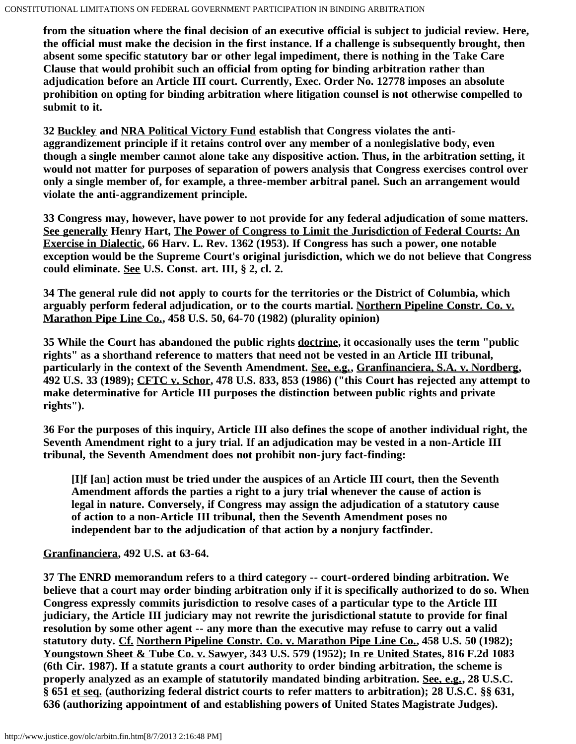**from the situation where the final decision of an executive official is subject to judicial review. Here, the official must make the decision in the first instance. If a challenge is subsequently brought, then absent some specific statutory bar or other legal impediment, there is nothing in the Take Care Clause that would prohibit such an official from opting for binding arbitration rather than adjudication before an Article III court. Currently, Exec. Order No. 12778 imposes an absolute prohibition on opting for binding arbitration where litigation counsel is not otherwise compelled to submit to it.**

<span id="page-21-0"></span>**32 Buckley and NRA Political Victory Fund establish that Congress violates the antiaggrandizement principle if it retains control over any member of a nonlegislative body, even though a single member cannot alone take any dispositive action. Thus, in the arbitration setting, it would not matter for purposes of separation of powers analysis that Congress exercises control over only a single member of, for example, a three-member arbitral panel. Such an arrangement would violate the anti-aggrandizement principle.**

<span id="page-21-1"></span>**33 Congress may, however, have power to not provide for any federal adjudication of some matters. See generally Henry Hart, The Power of Congress to Limit the Jurisdiction of Federal Courts: An Exercise in Dialectic, 66 Harv. L. Rev. 1362 (1953). If Congress has such a power, one notable exception would be the Supreme Court's original jurisdiction, which we do not believe that Congress could eliminate. See U.S. Const. art. III, § 2, cl. 2.**

<span id="page-21-2"></span>**34 The general rule did not apply to courts for the territories or the District of Columbia, which arguably perform federal adjudication, or to the courts martial. Northern Pipeline Constr. Co. v. Marathon Pipe Line Co., 458 U.S. 50, 64-70 (1982) (plurality opinion)**

<span id="page-21-3"></span>**35 While the Court has abandoned the public rights doctrine, it occasionally uses the term "public rights" as a shorthand reference to matters that need not be vested in an Article III tribunal, particularly in the context of the Seventh Amendment. See, e.g., Granfinanciera, S.A. v. Nordberg, 492 U.S. 33 (1989); CFTC v. Schor, 478 U.S. 833, 853 (1986) ("this Court has rejected any attempt to make determinative for Article III purposes the distinction between public rights and private rights").**

<span id="page-21-4"></span>**36 For the purposes of this inquiry, Article III also defines the scope of another individual right, the Seventh Amendment right to a jury trial. If an adjudication may be vested in a non-Article III tribunal, the Seventh Amendment does not prohibit non-jury fact-finding:**

**[I]f [an] action must be tried under the auspices of an Article III court, then the Seventh Amendment affords the parties a right to a jury trial whenever the cause of action is legal in nature. Conversely, if Congress may assign the adjudication of a statutory cause of action to a non-Article III tribunal, then the Seventh Amendment poses no independent bar to the adjudication of that action by a nonjury factfinder.**

# **Granfinanciera, 492 U.S. at 63-64.**

<span id="page-21-5"></span>**37 The ENRD memorandum refers to a third category -- court-ordered binding arbitration. We believe that a court may order binding arbitration only if it is specifically authorized to do so. When Congress expressly commits jurisdiction to resolve cases of a particular type to the Article III judiciary, the Article III judiciary may not rewrite the jurisdictional statute to provide for final resolution by some other agent -- any more than the executive may refuse to carry out a valid statutory duty. Cf. Northern Pipeline Constr. Co. v. Marathon Pipe Line Co., 458 U.S. 50 (1982); Youngstown Sheet & Tube Co. v. Sawyer, 343 U.S. 579 (1952); In re United States, 816 F.2d 1083 (6th Cir. 1987). If a statute grants a court authority to order binding arbitration, the scheme is properly analyzed as an example of statutorily mandated binding arbitration. See, e.g., 28 U.S.C. § 651 et seq. (authorizing federal district courts to refer matters to arbitration); 28 U.S.C. §§ 631, 636 (authorizing appointment of and establishing powers of United States Magistrate Judges).**